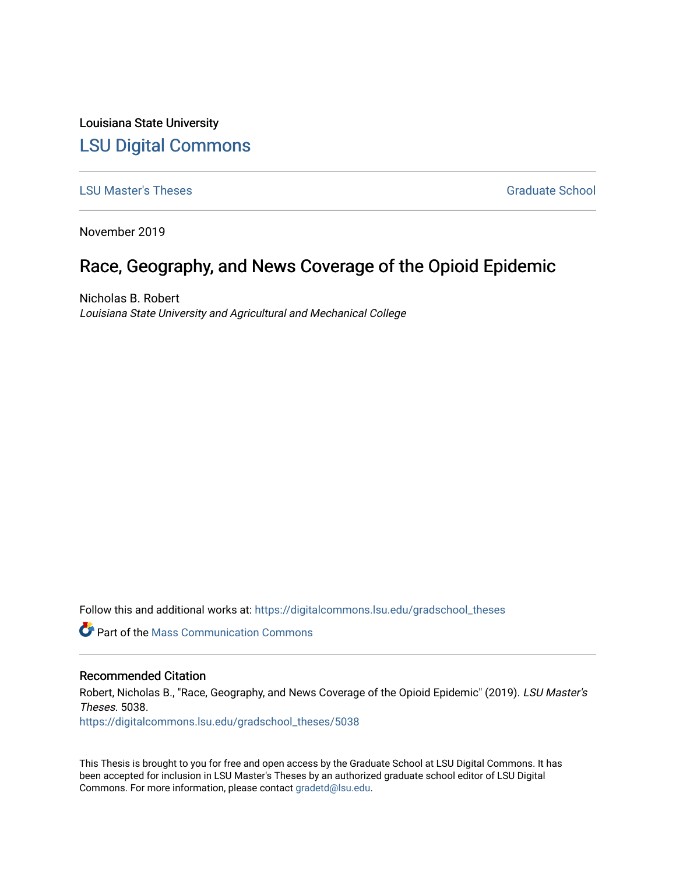Louisiana State University [LSU Digital Commons](https://digitalcommons.lsu.edu/)

### **[LSU Master's Theses](https://digitalcommons.lsu.edu/gradschool_theses)** [Graduate School](https://digitalcommons.lsu.edu/gradschool) **Contract Contract Contract Contract Contract Contract Contract Contract Contract Contract Contract Contract Contract Contract Contract Contract Contract Contract Contract Contract Con**

November 2019

# Race, Geography, and News Coverage of the Opioid Epidemic

Nicholas B. Robert Louisiana State University and Agricultural and Mechanical College

Follow this and additional works at: [https://digitalcommons.lsu.edu/gradschool\\_theses](https://digitalcommons.lsu.edu/gradschool_theses?utm_source=digitalcommons.lsu.edu%2Fgradschool_theses%2F5038&utm_medium=PDF&utm_campaign=PDFCoverPages) 

**C** Part of the Mass Communication Commons

#### Recommended Citation

Robert, Nicholas B., "Race, Geography, and News Coverage of the Opioid Epidemic" (2019). LSU Master's Theses. 5038.

[https://digitalcommons.lsu.edu/gradschool\\_theses/5038](https://digitalcommons.lsu.edu/gradschool_theses/5038?utm_source=digitalcommons.lsu.edu%2Fgradschool_theses%2F5038&utm_medium=PDF&utm_campaign=PDFCoverPages) 

This Thesis is brought to you for free and open access by the Graduate School at LSU Digital Commons. It has been accepted for inclusion in LSU Master's Theses by an authorized graduate school editor of LSU Digital Commons. For more information, please contact [gradetd@lsu.edu.](mailto:gradetd@lsu.edu)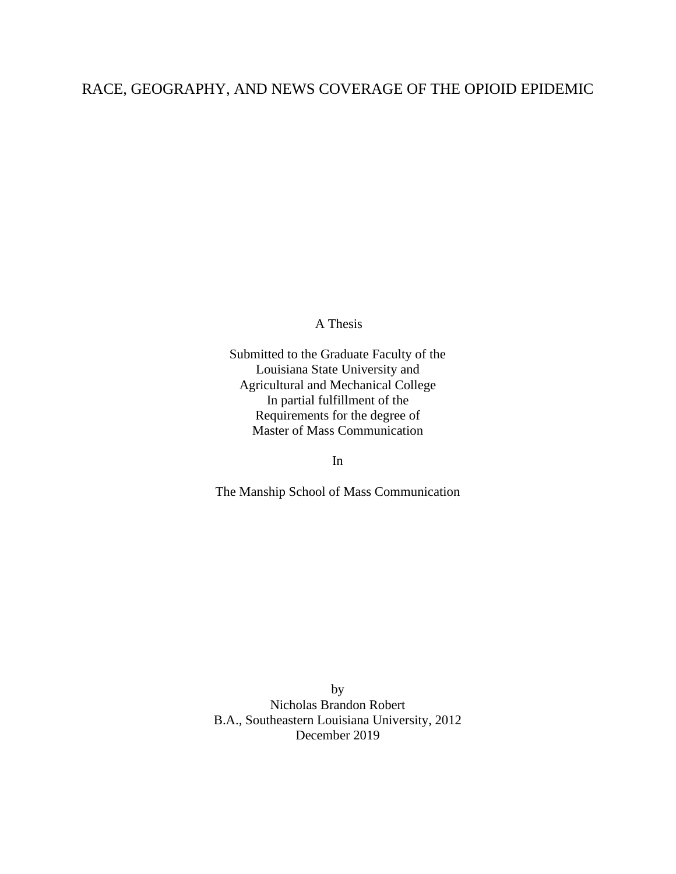## RACE, GEOGRAPHY, AND NEWS COVERAGE OF THE OPIOID EPIDEMIC

A Thesis

Submitted to the Graduate Faculty of the Louisiana State University and Agricultural and Mechanical College In partial fulfillment of the Requirements for the degree of Master of Mass Communication

In

The Manship School of Mass Communication

by Nicholas Brandon Robert B.A., Southeastern Louisiana University, 2012 December 2019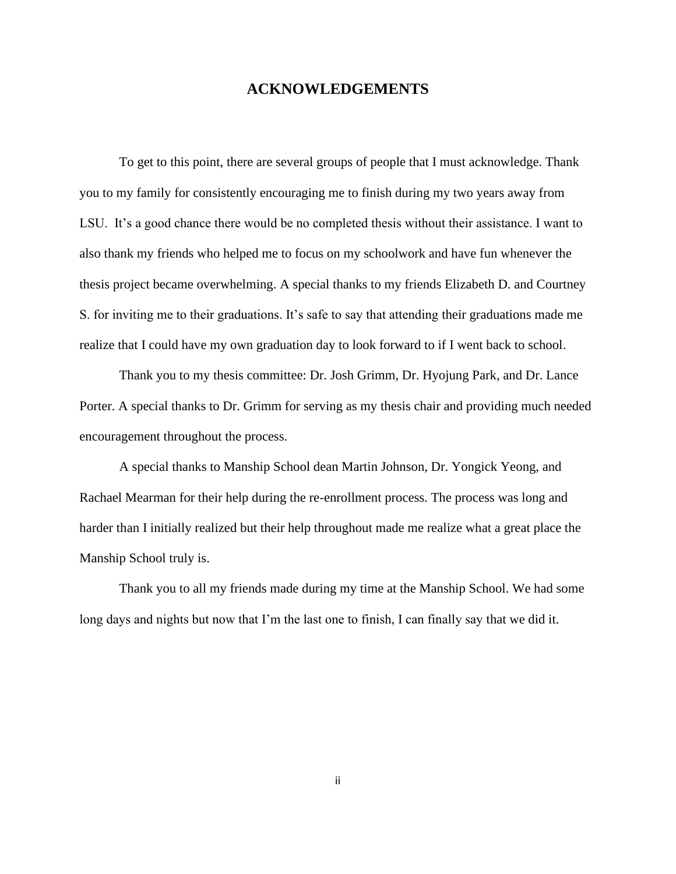### **ACKNOWLEDGEMENTS**

To get to this point, there are several groups of people that I must acknowledge. Thank you to my family for consistently encouraging me to finish during my two years away from LSU. It's a good chance there would be no completed thesis without their assistance. I want to also thank my friends who helped me to focus on my schoolwork and have fun whenever the thesis project became overwhelming. A special thanks to my friends Elizabeth D. and Courtney S. for inviting me to their graduations. It's safe to say that attending their graduations made me realize that I could have my own graduation day to look forward to if I went back to school.

Thank you to my thesis committee: Dr. Josh Grimm, Dr. Hyojung Park, and Dr. Lance Porter. A special thanks to Dr. Grimm for serving as my thesis chair and providing much needed encouragement throughout the process.

A special thanks to Manship School dean Martin Johnson, Dr. Yongick Yeong, and Rachael Mearman for their help during the re-enrollment process. The process was long and harder than I initially realized but their help throughout made me realize what a great place the Manship School truly is.

Thank you to all my friends made during my time at the Manship School. We had some long days and nights but now that I'm the last one to finish, I can finally say that we did it.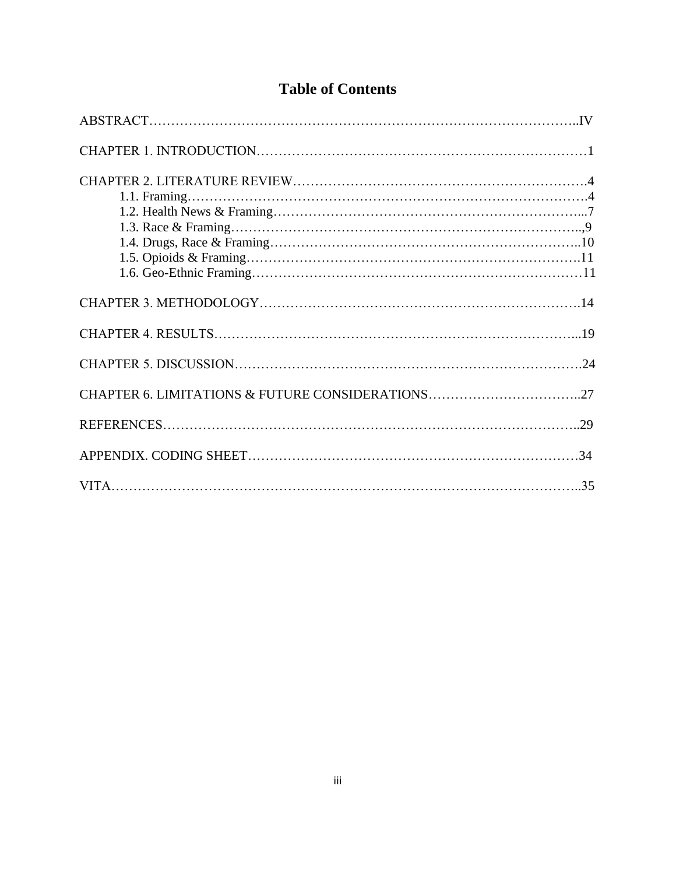| <b>Table of Contents</b> |
|--------------------------|
|                          |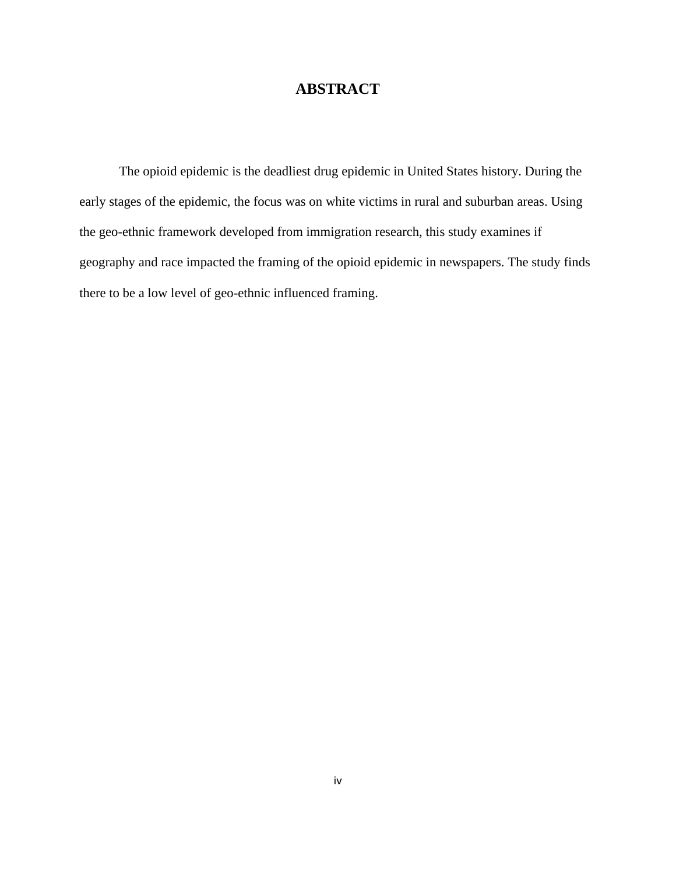# **ABSTRACT**

The opioid epidemic is the deadliest drug epidemic in United States history. During the early stages of the epidemic, the focus was on white victims in rural and suburban areas. Using the geo-ethnic framework developed from immigration research, this study examines if geography and race impacted the framing of the opioid epidemic in newspapers. The study finds there to be a low level of geo-ethnic influenced framing.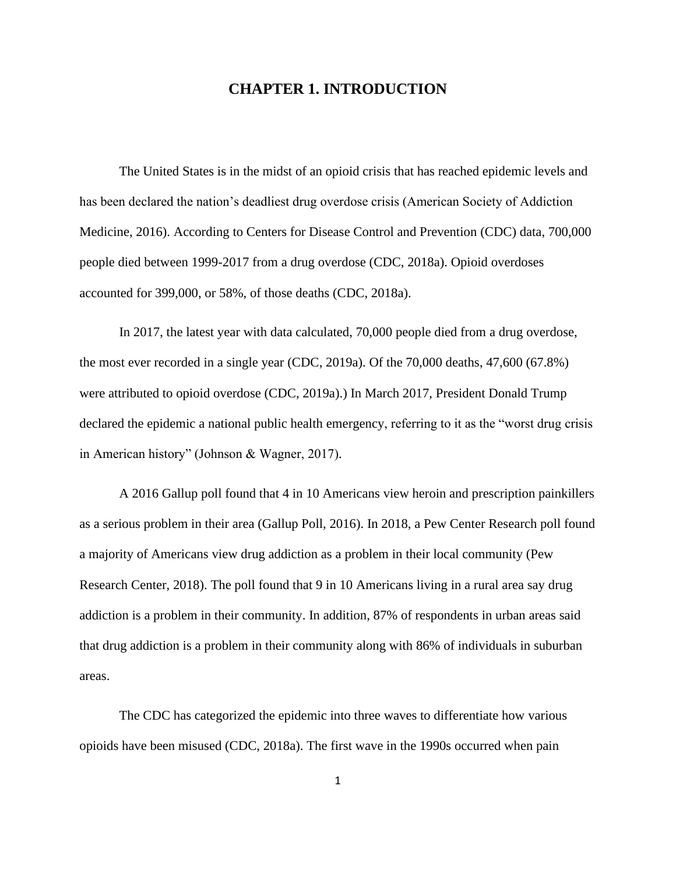### **CHAPTER 1. INTRODUCTION**

The United States is in the midst of an opioid crisis that has reached epidemic levels and has been declared the nation's deadliest drug overdose crisis (American Society of Addiction Medicine, 2016). According to Centers for Disease Control and Prevention (CDC) data, 700,000 people died between 1999-2017 from a drug overdose (CDC, 2018a). Opioid overdoses accounted for 399,000, or 58%, of those deaths (CDC, 2018a).

In 2017, the latest year with data calculated, 70,000 people died from a drug overdose, the most ever recorded in a single year (CDC, 2019a). Of the 70,000 deaths, 47,600 (67.8%) were attributed to opioid overdose (CDC, 2019a).) In March 2017, President Donald Trump declared the epidemic a national public health emergency, referring to it as the "worst drug crisis in American history" (Johnson & Wagner, 2017).

A 2016 Gallup poll found that 4 in 10 Americans view heroin and prescription painkillers as a serious problem in their area (Gallup Poll, 2016). In 2018, a Pew Center Research poll found a majority of Americans view drug addiction as a problem in their local community (Pew Research Center, 2018). The poll found that 9 in 10 Americans living in a rural area say drug addiction is a problem in their community. In addition, 87% of respondents in urban areas said that drug addiction is a problem in their community along with 86% of individuals in suburban areas.

The CDC has categorized the epidemic into three waves to differentiate how various opioids have been misused (CDC, 2018a). The first wave in the 1990s occurred when pain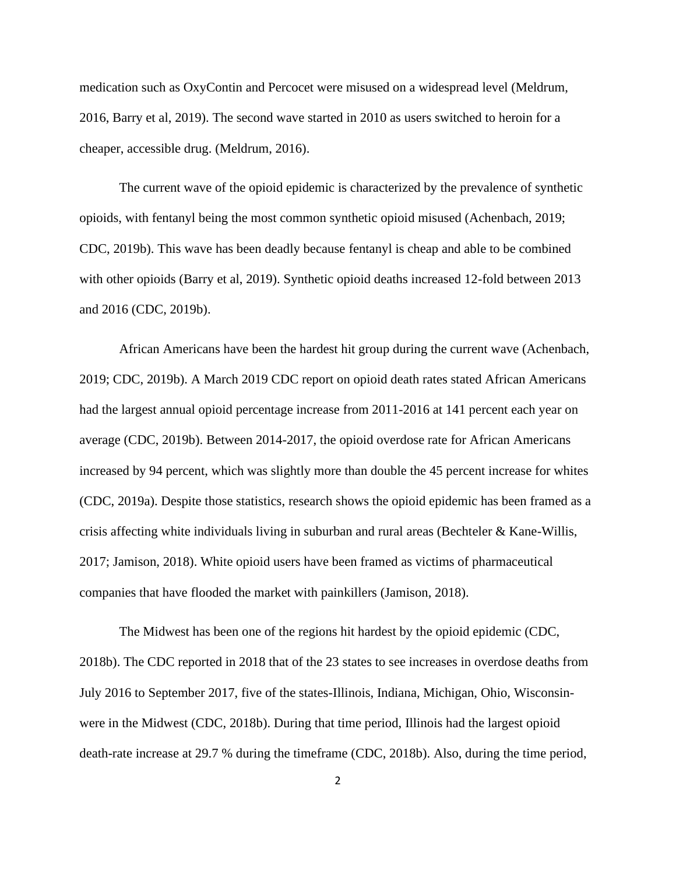medication such as OxyContin and Percocet were misused on a widespread level (Meldrum, 2016, Barry et al, 2019). The second wave started in 2010 as users switched to heroin for a cheaper, accessible drug. (Meldrum, 2016).

The current wave of the opioid epidemic is characterized by the prevalence of synthetic opioids, with fentanyl being the most common synthetic opioid misused (Achenbach, 2019; CDC, 2019b). This wave has been deadly because fentanyl is cheap and able to be combined with other opioids (Barry et al, 2019). Synthetic opioid deaths increased 12-fold between 2013 and 2016 (CDC, 2019b).

African Americans have been the hardest hit group during the current wave (Achenbach, 2019; CDC, 2019b). A March 2019 CDC report on opioid death rates stated African Americans had the largest annual opioid percentage increase from 2011-2016 at 141 percent each year on average (CDC, 2019b). Between 2014-2017, the opioid overdose rate for African Americans increased by 94 percent, which was slightly more than double the 45 percent increase for whites (CDC, 2019a). Despite those statistics, research shows the opioid epidemic has been framed as a crisis affecting white individuals living in suburban and rural areas (Bechteler & Kane-Willis, 2017; Jamison, 2018). White opioid users have been framed as victims of pharmaceutical companies that have flooded the market with painkillers (Jamison, 2018).

The Midwest has been one of the regions hit hardest by the opioid epidemic (CDC, 2018b). The CDC reported in 2018 that of the 23 states to see increases in overdose deaths from July 2016 to September 2017, five of the states-Illinois, Indiana, Michigan, Ohio, Wisconsinwere in the Midwest (CDC, 2018b). During that time period, Illinois had the largest opioid death-rate increase at 29.7 % during the timeframe (CDC, 2018b). Also, during the time period,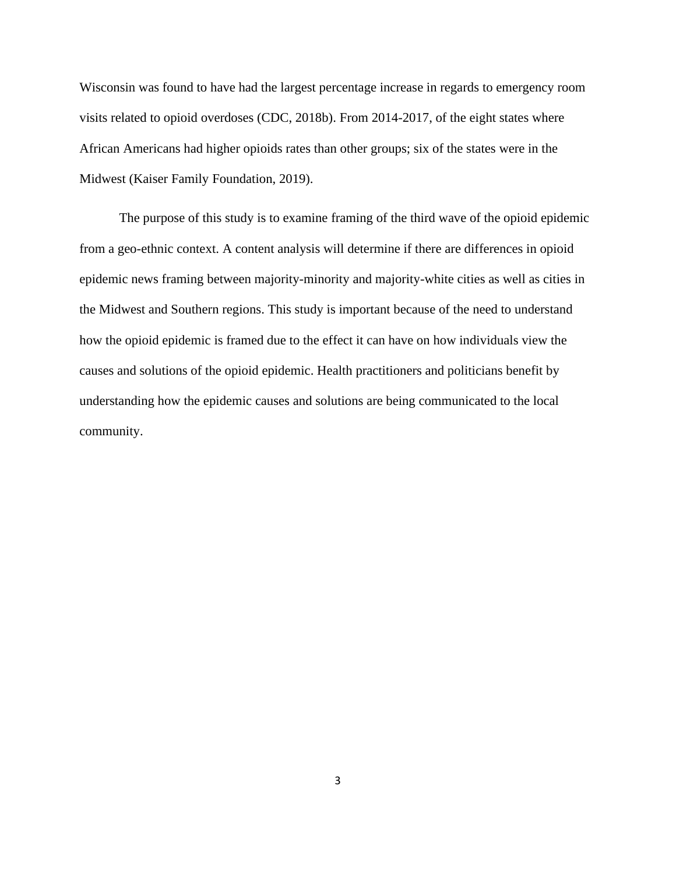Wisconsin was found to have had the largest percentage increase in regards to emergency room visits related to opioid overdoses (CDC, 2018b). From 2014-2017, of the eight states where African Americans had higher opioids rates than other groups; six of the states were in the Midwest (Kaiser Family Foundation, 2019).

The purpose of this study is to examine framing of the third wave of the opioid epidemic from a geo-ethnic context. A content analysis will determine if there are differences in opioid epidemic news framing between majority-minority and majority-white cities as well as cities in the Midwest and Southern regions. This study is important because of the need to understand how the opioid epidemic is framed due to the effect it can have on how individuals view the causes and solutions of the opioid epidemic. Health practitioners and politicians benefit by understanding how the epidemic causes and solutions are being communicated to the local community.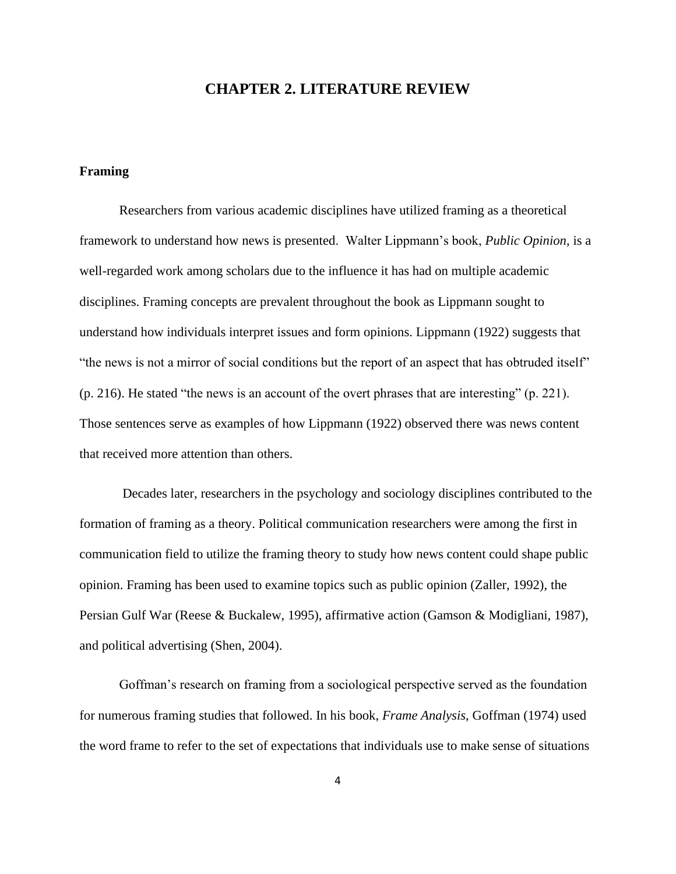### **CHAPTER 2. LITERATURE REVIEW**

#### **Framing**

Researchers from various academic disciplines have utilized framing as a theoretical framework to understand how news is presented. Walter Lippmann's book, *Public Opinion*, is a well-regarded work among scholars due to the influence it has had on multiple academic disciplines. Framing concepts are prevalent throughout the book as Lippmann sought to understand how individuals interpret issues and form opinions. Lippmann (1922) suggests that "the news is not a mirror of social conditions but the report of an aspect that has obtruded itself" (p. 216). He stated "the news is an account of the overt phrases that are interesting" (p. 221). Those sentences serve as examples of how Lippmann (1922) observed there was news content that received more attention than others.

Decades later, researchers in the psychology and sociology disciplines contributed to the formation of framing as a theory. Political communication researchers were among the first in communication field to utilize the framing theory to study how news content could shape public opinion. Framing has been used to examine topics such as public opinion (Zaller, 1992), the Persian Gulf War (Reese & Buckalew, 1995), affirmative action (Gamson & Modigliani, 1987), and political advertising (Shen, 2004).

Goffman's research on framing from a sociological perspective served as the foundation for numerous framing studies that followed. In his book, *Frame Analysis*, Goffman (1974) used the word frame to refer to the set of expectations that individuals use to make sense of situations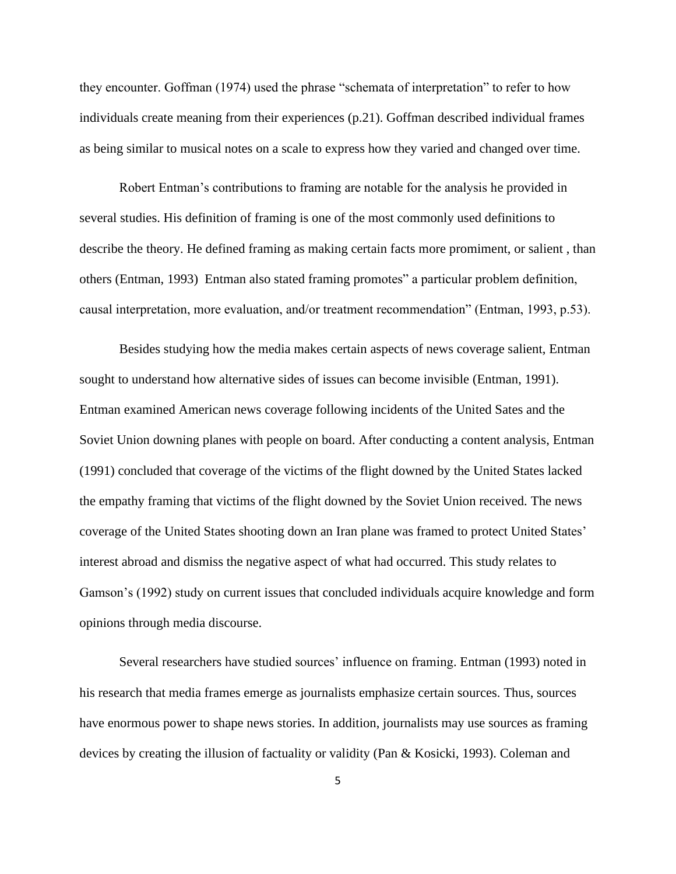they encounter. Goffman (1974) used the phrase "schemata of interpretation" to refer to how individuals create meaning from their experiences (p.21). Goffman described individual frames as being similar to musical notes on a scale to express how they varied and changed over time.

Robert Entman's contributions to framing are notable for the analysis he provided in several studies. His definition of framing is one of the most commonly used definitions to describe the theory. He defined framing as making certain facts more promiment, or salient , than others (Entman, 1993) Entman also stated framing promotes" a particular problem definition, causal interpretation, more evaluation, and/or treatment recommendation" (Entman, 1993, p.53).

Besides studying how the media makes certain aspects of news coverage salient, Entman sought to understand how alternative sides of issues can become invisible (Entman, 1991). Entman examined American news coverage following incidents of the United Sates and the Soviet Union downing planes with people on board. After conducting a content analysis, Entman (1991) concluded that coverage of the victims of the flight downed by the United States lacked the empathy framing that victims of the flight downed by the Soviet Union received. The news coverage of the United States shooting down an Iran plane was framed to protect United States' interest abroad and dismiss the negative aspect of what had occurred. This study relates to Gamson's (1992) study on current issues that concluded individuals acquire knowledge and form opinions through media discourse.

Several researchers have studied sources' influence on framing. Entman (1993) noted in his research that media frames emerge as journalists emphasize certain sources. Thus, sources have enormous power to shape news stories. In addition, journalists may use sources as framing devices by creating the illusion of factuality or validity (Pan & Kosicki, 1993). Coleman and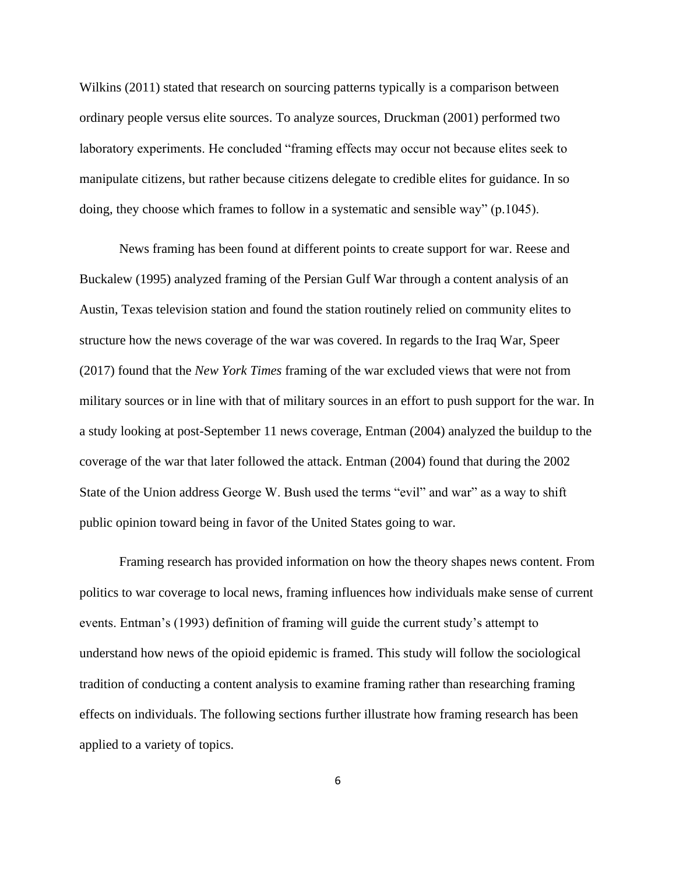Wilkins (2011) stated that research on sourcing patterns typically is a comparison between ordinary people versus elite sources. To analyze sources, Druckman (2001) performed two laboratory experiments. He concluded "framing effects may occur not because elites seek to manipulate citizens, but rather because citizens delegate to credible elites for guidance. In so doing, they choose which frames to follow in a systematic and sensible way" (p.1045).

News framing has been found at different points to create support for war. Reese and Buckalew (1995) analyzed framing of the Persian Gulf War through a content analysis of an Austin, Texas television station and found the station routinely relied on community elites to structure how the news coverage of the war was covered. In regards to the Iraq War, Speer (2017) found that the *New York Times* framing of the war excluded views that were not from military sources or in line with that of military sources in an effort to push support for the war. In a study looking at post-September 11 news coverage, Entman (2004) analyzed the buildup to the coverage of the war that later followed the attack. Entman (2004) found that during the 2002 State of the Union address George W. Bush used the terms "evil" and war" as a way to shift public opinion toward being in favor of the United States going to war.

Framing research has provided information on how the theory shapes news content. From politics to war coverage to local news, framing influences how individuals make sense of current events. Entman's (1993) definition of framing will guide the current study's attempt to understand how news of the opioid epidemic is framed. This study will follow the sociological tradition of conducting a content analysis to examine framing rather than researching framing effects on individuals. The following sections further illustrate how framing research has been applied to a variety of topics.

6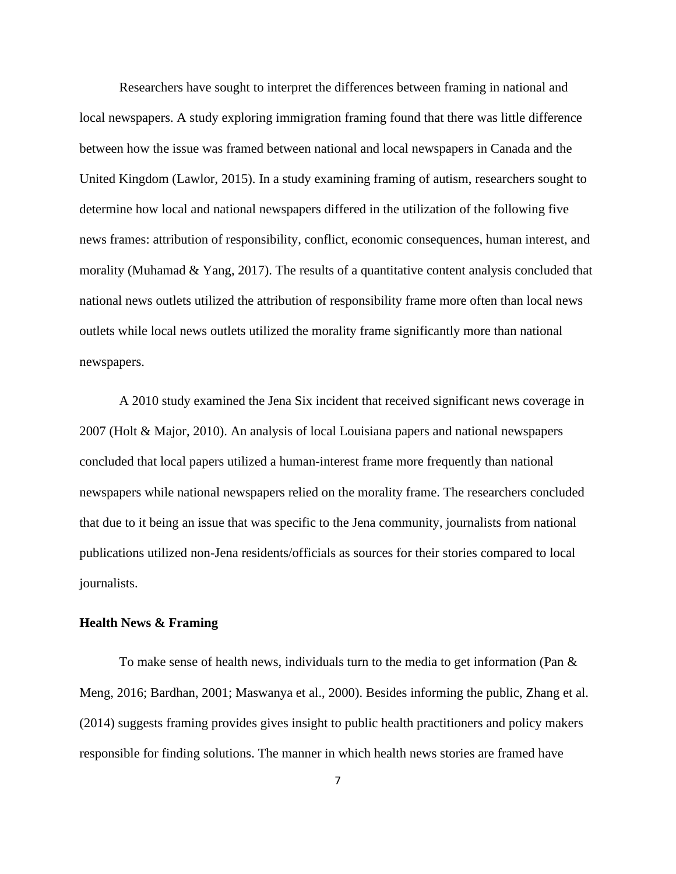Researchers have sought to interpret the differences between framing in national and local newspapers. A study exploring immigration framing found that there was little difference between how the issue was framed between national and local newspapers in Canada and the United Kingdom (Lawlor, 2015). In a study examining framing of autism, researchers sought to determine how local and national newspapers differed in the utilization of the following five news frames: attribution of responsibility, conflict, economic consequences, human interest, and morality (Muhamad & Yang, 2017). The results of a quantitative content analysis concluded that national news outlets utilized the attribution of responsibility frame more often than local news outlets while local news outlets utilized the morality frame significantly more than national newspapers.

A 2010 study examined the Jena Six incident that received significant news coverage in 2007 (Holt & Major, 2010). An analysis of local Louisiana papers and national newspapers concluded that local papers utilized a human-interest frame more frequently than national newspapers while national newspapers relied on the morality frame. The researchers concluded that due to it being an issue that was specific to the Jena community, journalists from national publications utilized non-Jena residents/officials as sources for their stories compared to local journalists.

#### **Health News & Framing**

To make sense of health news, individuals turn to the media to get information (Pan  $\&$ Meng, 2016; Bardhan, 2001; Maswanya et al., 2000). Besides informing the public, Zhang et al. (2014) suggests framing provides gives insight to public health practitioners and policy makers responsible for finding solutions. The manner in which health news stories are framed have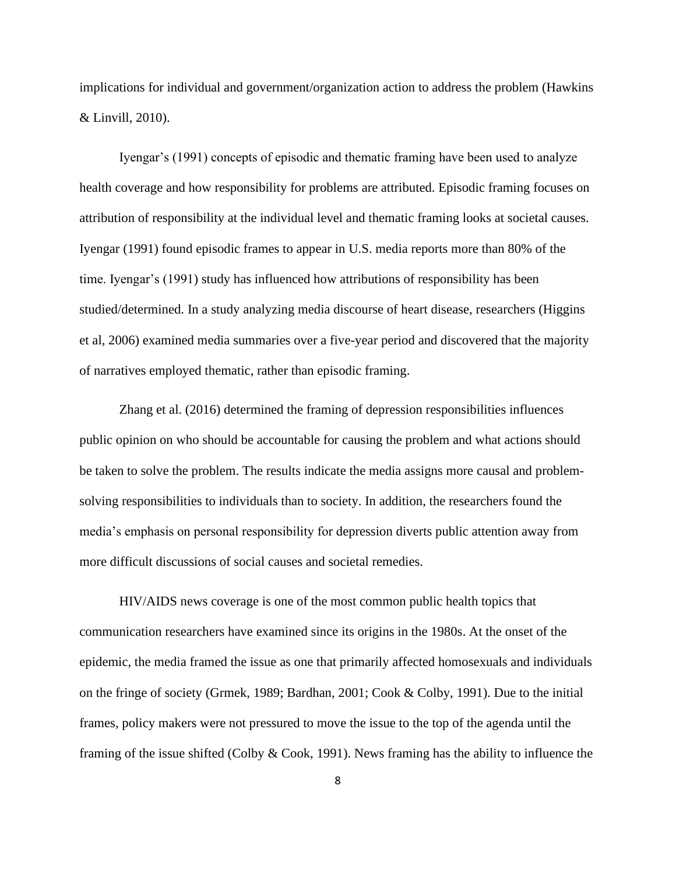implications for individual and government/organization action to address the problem (Hawkins & Linvill, 2010).

Iyengar's (1991) concepts of episodic and thematic framing have been used to analyze health coverage and how responsibility for problems are attributed. Episodic framing focuses on attribution of responsibility at the individual level and thematic framing looks at societal causes. Iyengar (1991) found episodic frames to appear in U.S. media reports more than 80% of the time. Iyengar's (1991) study has influenced how attributions of responsibility has been studied/determined. In a study analyzing media discourse of heart disease, researchers (Higgins et al, 2006) examined media summaries over a five-year period and discovered that the majority of narratives employed thematic, rather than episodic framing.

Zhang et al. (2016) determined the framing of depression responsibilities influences public opinion on who should be accountable for causing the problem and what actions should be taken to solve the problem. The results indicate the media assigns more causal and problemsolving responsibilities to individuals than to society. In addition, the researchers found the media's emphasis on personal responsibility for depression diverts public attention away from more difficult discussions of social causes and societal remedies.

HIV/AIDS news coverage is one of the most common public health topics that communication researchers have examined since its origins in the 1980s. At the onset of the epidemic, the media framed the issue as one that primarily affected homosexuals and individuals on the fringe of society (Grmek, 1989; Bardhan, 2001; Cook & Colby, 1991). Due to the initial frames, policy makers were not pressured to move the issue to the top of the agenda until the framing of the issue shifted (Colby & Cook, 1991). News framing has the ability to influence the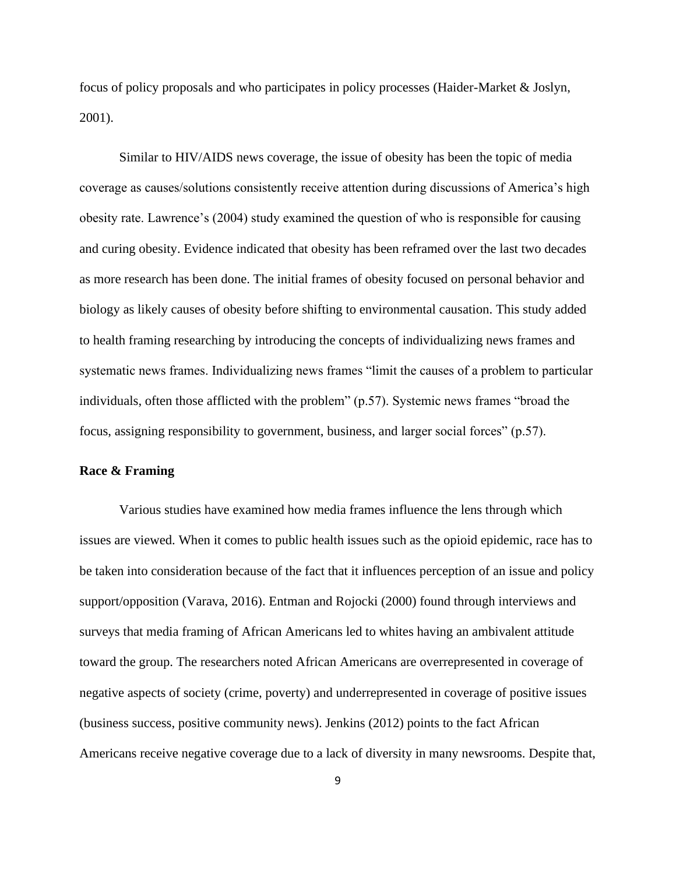focus of policy proposals and who participates in policy processes (Haider-Market & Joslyn, 2001).

Similar to HIV/AIDS news coverage, the issue of obesity has been the topic of media coverage as causes/solutions consistently receive attention during discussions of America's high obesity rate. Lawrence's (2004) study examined the question of who is responsible for causing and curing obesity. Evidence indicated that obesity has been reframed over the last two decades as more research has been done. The initial frames of obesity focused on personal behavior and biology as likely causes of obesity before shifting to environmental causation. This study added to health framing researching by introducing the concepts of individualizing news frames and systematic news frames. Individualizing news frames "limit the causes of a problem to particular individuals, often those afflicted with the problem" (p.57). Systemic news frames "broad the focus, assigning responsibility to government, business, and larger social forces" (p.57).

#### **Race & Framing**

Various studies have examined how media frames influence the lens through which issues are viewed. When it comes to public health issues such as the opioid epidemic, race has to be taken into consideration because of the fact that it influences perception of an issue and policy support/opposition (Varava, 2016). Entman and Rojocki (2000) found through interviews and surveys that media framing of African Americans led to whites having an ambivalent attitude toward the group. The researchers noted African Americans are overrepresented in coverage of negative aspects of society (crime, poverty) and underrepresented in coverage of positive issues (business success, positive community news). Jenkins (2012) points to the fact African Americans receive negative coverage due to a lack of diversity in many newsrooms. Despite that,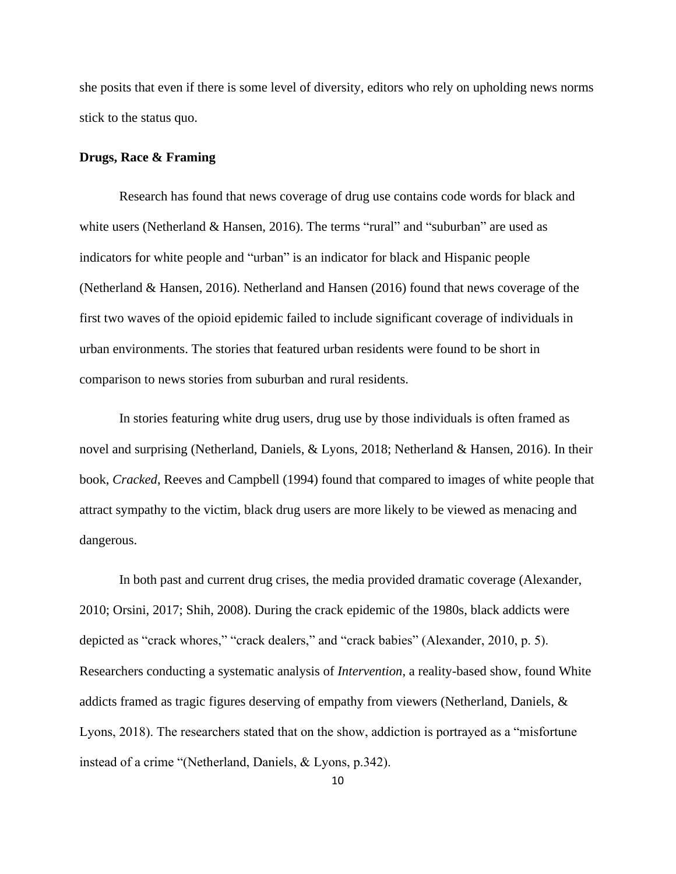she posits that even if there is some level of diversity, editors who rely on upholding news norms stick to the status quo.

#### **Drugs, Race & Framing**

Research has found that news coverage of drug use contains code words for black and white users (Netherland & Hansen, 2016). The terms "rural" and "suburban" are used as indicators for white people and "urban" is an indicator for black and Hispanic people (Netherland & Hansen, 2016). Netherland and Hansen (2016) found that news coverage of the first two waves of the opioid epidemic failed to include significant coverage of individuals in urban environments. The stories that featured urban residents were found to be short in comparison to news stories from suburban and rural residents.

In stories featuring white drug users, drug use by those individuals is often framed as novel and surprising (Netherland, Daniels, & Lyons, 2018; Netherland & Hansen, 2016). In their book, *Cracked*, Reeves and Campbell (1994) found that compared to images of white people that attract sympathy to the victim, black drug users are more likely to be viewed as menacing and dangerous.

In both past and current drug crises, the media provided dramatic coverage (Alexander, 2010; Orsini, 2017; Shih, 2008). During the crack epidemic of the 1980s, black addicts were depicted as "crack whores," "crack dealers," and "crack babies" (Alexander, 2010, p. 5). Researchers conducting a systematic analysis of *Intervention*, a reality-based show, found White addicts framed as tragic figures deserving of empathy from viewers (Netherland, Daniels, & Lyons, 2018). The researchers stated that on the show, addiction is portrayed as a "misfortune instead of a crime "(Netherland, Daniels, & Lyons, p.342).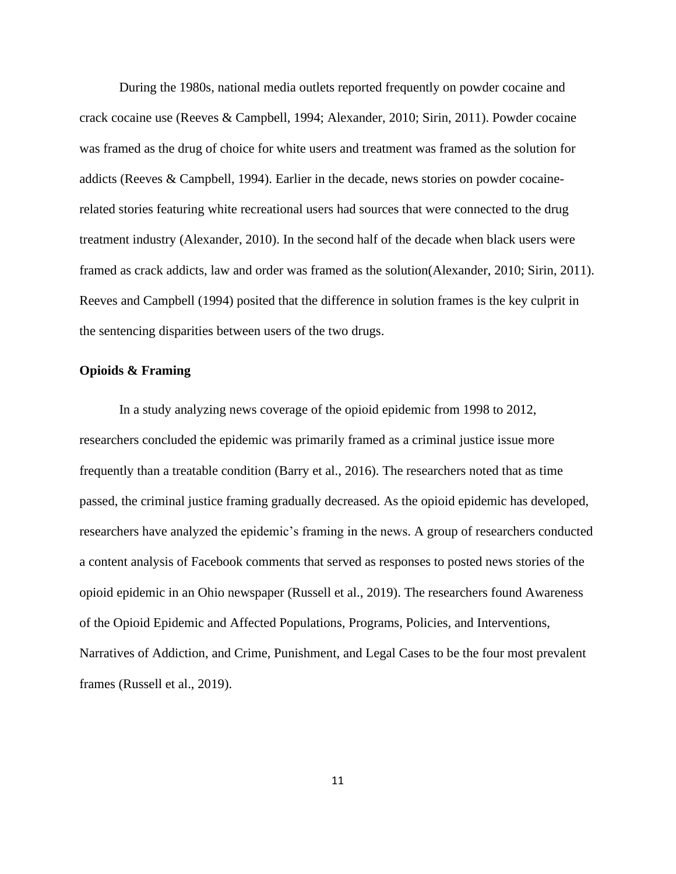During the 1980s, national media outlets reported frequently on powder cocaine and crack cocaine use (Reeves & Campbell, 1994; Alexander, 2010; Sirin, 2011). Powder cocaine was framed as the drug of choice for white users and treatment was framed as the solution for addicts (Reeves & Campbell, 1994). Earlier in the decade, news stories on powder cocainerelated stories featuring white recreational users had sources that were connected to the drug treatment industry (Alexander, 2010). In the second half of the decade when black users were framed as crack addicts, law and order was framed as the solution(Alexander, 2010; Sirin, 2011). Reeves and Campbell (1994) posited that the difference in solution frames is the key culprit in the sentencing disparities between users of the two drugs.

#### **Opioids & Framing**

In a study analyzing news coverage of the opioid epidemic from 1998 to 2012, researchers concluded the epidemic was primarily framed as a criminal justice issue more frequently than a treatable condition (Barry et al., 2016). The researchers noted that as time passed, the criminal justice framing gradually decreased. As the opioid epidemic has developed, researchers have analyzed the epidemic's framing in the news. A group of researchers conducted a content analysis of Facebook comments that served as responses to posted news stories of the opioid epidemic in an Ohio newspaper (Russell et al., 2019). The researchers found Awareness of the Opioid Epidemic and Affected Populations, Programs, Policies, and Interventions, Narratives of Addiction, and Crime, Punishment, and Legal Cases to be the four most prevalent frames (Russell et al., 2019).

11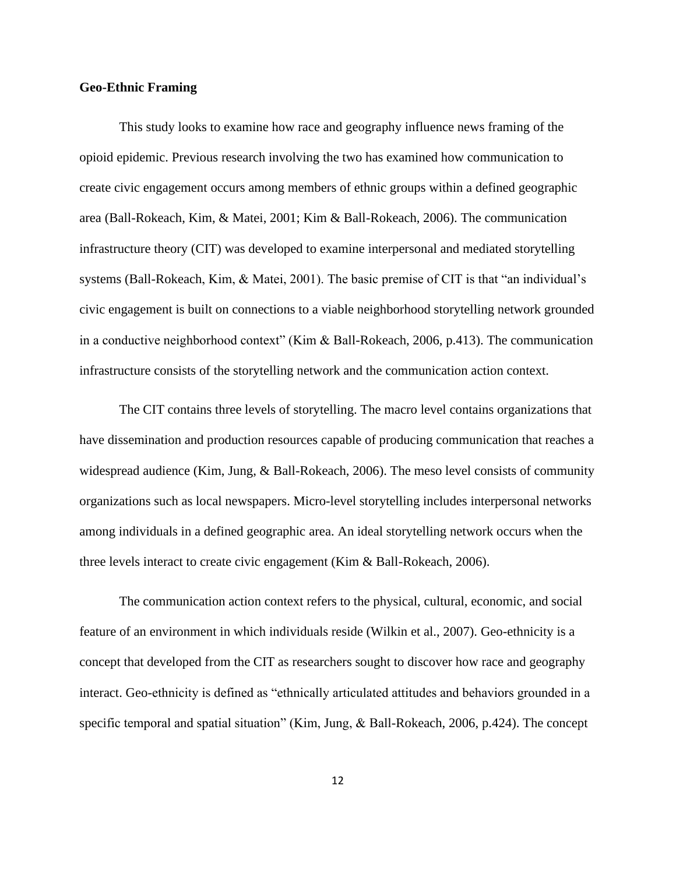#### **Geo-Ethnic Framing**

This study looks to examine how race and geography influence news framing of the opioid epidemic. Previous research involving the two has examined how communication to create civic engagement occurs among members of ethnic groups within a defined geographic area (Ball-Rokeach, Kim, & Matei, 2001; Kim & Ball-Rokeach, 2006). The communication infrastructure theory (CIT) was developed to examine interpersonal and mediated storytelling systems (Ball-Rokeach, Kim, & Matei, 2001). The basic premise of CIT is that "an individual's civic engagement is built on connections to a viable neighborhood storytelling network grounded in a conductive neighborhood context" (Kim & Ball-Rokeach, 2006, p.413). The communication infrastructure consists of the storytelling network and the communication action context.

The CIT contains three levels of storytelling. The macro level contains organizations that have dissemination and production resources capable of producing communication that reaches a widespread audience (Kim, Jung, & Ball-Rokeach, 2006). The meso level consists of community organizations such as local newspapers. Micro-level storytelling includes interpersonal networks among individuals in a defined geographic area. An ideal storytelling network occurs when the three levels interact to create civic engagement (Kim & Ball-Rokeach, 2006).

The communication action context refers to the physical, cultural, economic, and social feature of an environment in which individuals reside (Wilkin et al., 2007). Geo-ethnicity is a concept that developed from the CIT as researchers sought to discover how race and geography interact. Geo-ethnicity is defined as "ethnically articulated attitudes and behaviors grounded in a specific temporal and spatial situation" (Kim, Jung, & Ball-Rokeach, 2006, p.424). The concept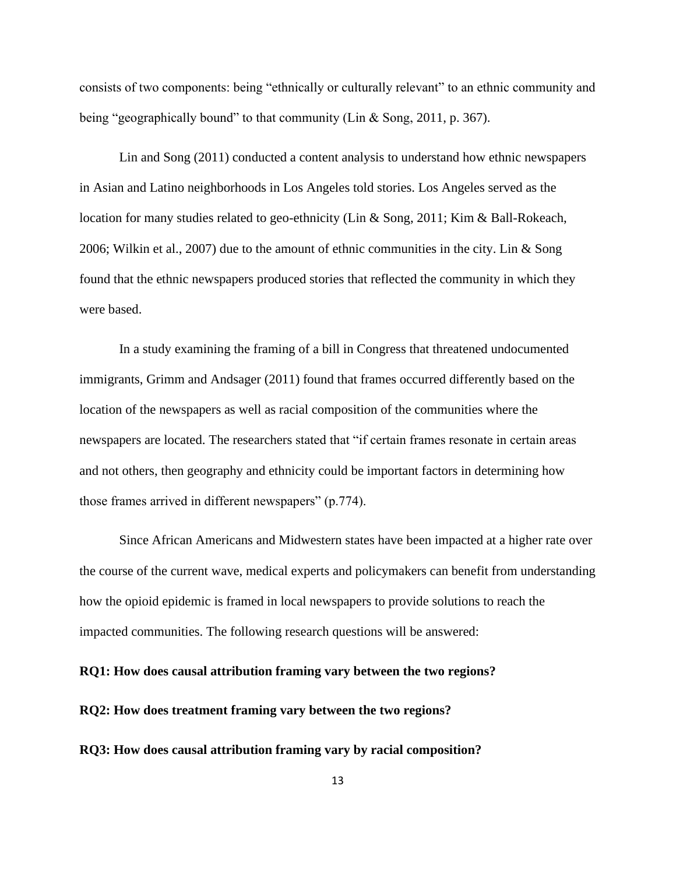consists of two components: being "ethnically or culturally relevant" to an ethnic community and being "geographically bound" to that community (Lin & Song, 2011, p. 367).

Lin and Song (2011) conducted a content analysis to understand how ethnic newspapers in Asian and Latino neighborhoods in Los Angeles told stories. Los Angeles served as the location for many studies related to geo-ethnicity (Lin & Song, 2011; Kim & Ball-Rokeach, 2006; Wilkin et al., 2007) due to the amount of ethnic communities in the city. Lin & Song found that the ethnic newspapers produced stories that reflected the community in which they were based.

In a study examining the framing of a bill in Congress that threatened undocumented immigrants, Grimm and Andsager (2011) found that frames occurred differently based on the location of the newspapers as well as racial composition of the communities where the newspapers are located. The researchers stated that "if certain frames resonate in certain areas and not others, then geography and ethnicity could be important factors in determining how those frames arrived in different newspapers" (p.774).

Since African Americans and Midwestern states have been impacted at a higher rate over the course of the current wave, medical experts and policymakers can benefit from understanding how the opioid epidemic is framed in local newspapers to provide solutions to reach the impacted communities. The following research questions will be answered:

**RQ1: How does causal attribution framing vary between the two regions?**

**RQ2: How does treatment framing vary between the two regions?**

**RQ3: How does causal attribution framing vary by racial composition?**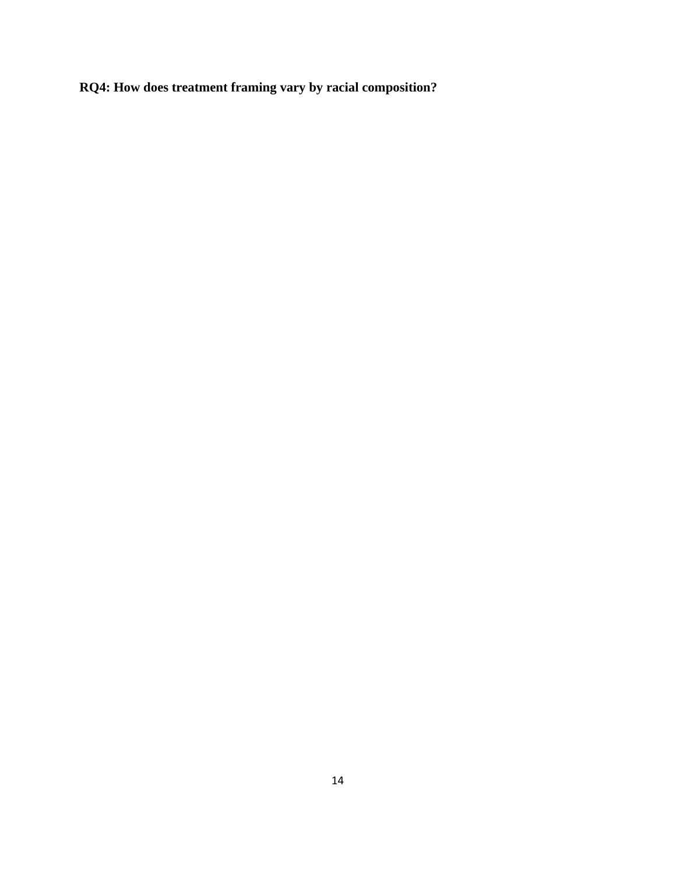**RQ4: How does treatment framing vary by racial composition?**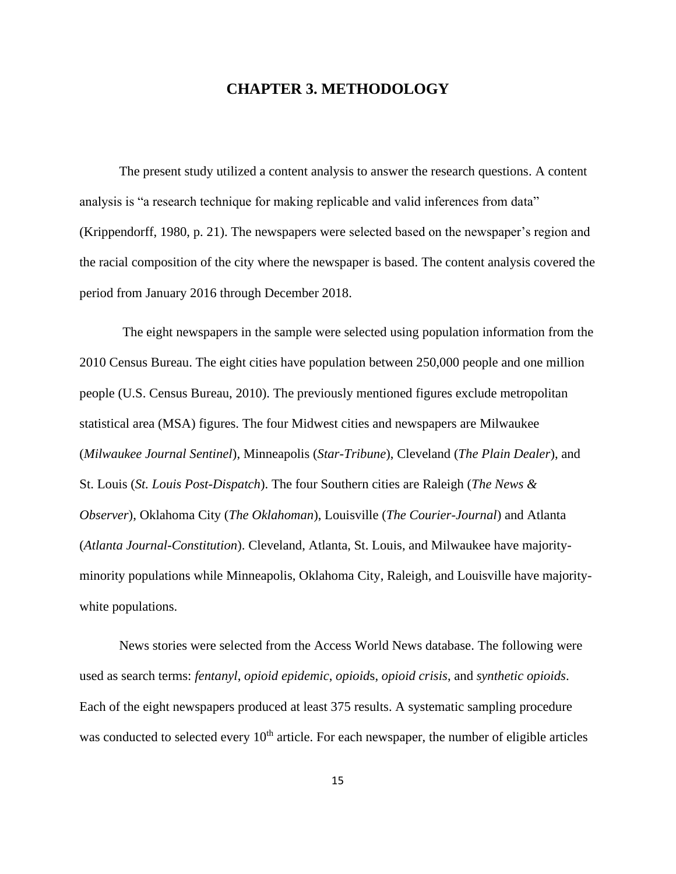### **CHAPTER 3. METHODOLOGY**

The present study utilized a content analysis to answer the research questions. A content analysis is "a research technique for making replicable and valid inferences from data" (Krippendorff, 1980, p. 21). The newspapers were selected based on the newspaper's region and the racial composition of the city where the newspaper is based. The content analysis covered the period from January 2016 through December 2018.

The eight newspapers in the sample were selected using population information from the 2010 Census Bureau. The eight cities have population between 250,000 people and one million people (U.S. Census Bureau, 2010). The previously mentioned figures exclude metropolitan statistical area (MSA) figures. The four Midwest cities and newspapers are Milwaukee (*Milwaukee Journal Sentinel*), Minneapolis (*Star-Tribune*), Cleveland (*The Plain Dealer*), and St. Louis (*St. Louis Post-Dispatch*). The four Southern cities are Raleigh (*The News & Observer*), Oklahoma City (*The Oklahoman*), Louisville (*The Courier-Journal*) and Atlanta (*Atlanta Journal-Constitution*). Cleveland, Atlanta, St. Louis, and Milwaukee have majorityminority populations while Minneapolis, Oklahoma City, Raleigh, and Louisville have majoritywhite populations.

News stories were selected from the Access World News database. The following were used as search terms: *fentanyl*, *opioid epidemic*, *opioid*s, *opioid crisis*, and *synthetic opioids*. Each of the eight newspapers produced at least 375 results. A systematic sampling procedure was conducted to selected every  $10<sup>th</sup>$  article. For each newspaper, the number of eligible articles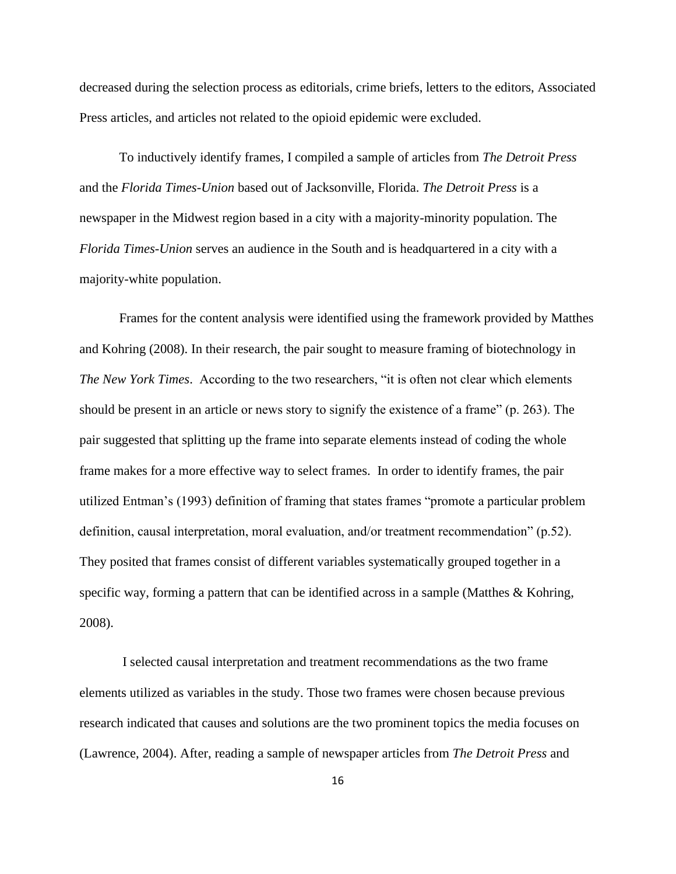decreased during the selection process as editorials, crime briefs, letters to the editors, Associated Press articles, and articles not related to the opioid epidemic were excluded.

To inductively identify frames, I compiled a sample of articles from *The Detroit Press*  and the *Florida Times-Union* based out of Jacksonville, Florida. *The Detroit Press* is a newspaper in the Midwest region based in a city with a majority-minority population. The *Florida Times-Union* serves an audience in the South and is headquartered in a city with a majority-white population.

Frames for the content analysis were identified using the framework provided by Matthes and Kohring (2008). In their research, the pair sought to measure framing of biotechnology in *The New York Times*. According to the two researchers, "it is often not clear which elements should be present in an article or news story to signify the existence of a frame" (p. 263). The pair suggested that splitting up the frame into separate elements instead of coding the whole frame makes for a more effective way to select frames. In order to identify frames, the pair utilized Entman's (1993) definition of framing that states frames "promote a particular problem definition, causal interpretation, moral evaluation, and/or treatment recommendation" (p.52). They posited that frames consist of different variables systematically grouped together in a specific way, forming a pattern that can be identified across in a sample (Matthes & Kohring, 2008).

I selected causal interpretation and treatment recommendations as the two frame elements utilized as variables in the study. Those two frames were chosen because previous research indicated that causes and solutions are the two prominent topics the media focuses on (Lawrence, 2004). After, reading a sample of newspaper articles from *The Detroit Press* and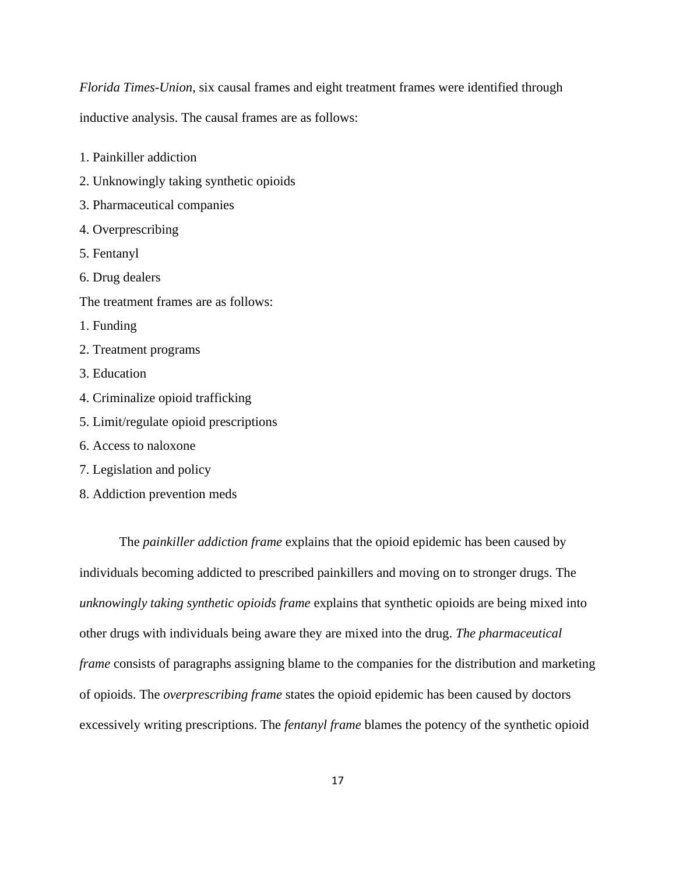*Florida Times-Union*, six causal frames and eight treatment frames were identified through

inductive analysis. The causal frames are as follows:

- 1. Painkiller addiction
- 2. Unknowingly taking synthetic opioids
- 3. Pharmaceutical companies
- 4. Overprescribing
- 5. Fentanyl
- 6. Drug dealers
- The treatment frames are as follows:
- 1. Funding
- 2. Treatment programs
- 3. Education
- 4. Criminalize opioid trafficking
- 5. Limit/regulate opioid prescriptions
- 6. Access to naloxone
- 7. Legislation and policy
- 8. Addiction prevention meds

The *painkiller addiction frame* explains that the opioid epidemic has been caused by individuals becoming addicted to prescribed painkillers and moving on to stronger drugs. The *unknowingly taking synthetic opioids frame* explains that synthetic opioids are being mixed into other drugs with individuals being aware they are mixed into the drug. *The pharmaceutical frame* consists of paragraphs assigning blame to the companies for the distribution and marketing of opioids. The *overprescribing frame* states the opioid epidemic has been caused by doctors excessively writing prescriptions. The *fentanyl frame* blames the potency of the synthetic opioid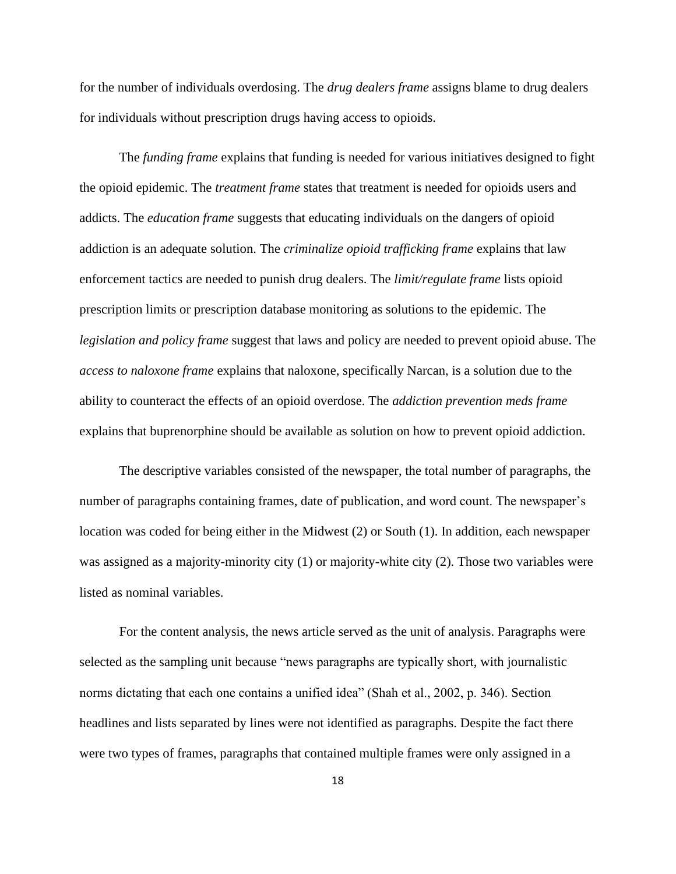for the number of individuals overdosing. The *drug dealers frame* assigns blame to drug dealers for individuals without prescription drugs having access to opioids.

The *funding frame* explains that funding is needed for various initiatives designed to fight the opioid epidemic. The *treatment frame* states that treatment is needed for opioids users and addicts. The *education frame* suggests that educating individuals on the dangers of opioid addiction is an adequate solution. The *criminalize opioid trafficking frame* explains that law enforcement tactics are needed to punish drug dealers. The *limit/regulate frame* lists opioid prescription limits or prescription database monitoring as solutions to the epidemic. The *legislation and policy frame* suggest that laws and policy are needed to prevent opioid abuse. The *access to naloxone frame* explains that naloxone, specifically Narcan, is a solution due to the ability to counteract the effects of an opioid overdose. The *addiction prevention meds frame* explains that buprenorphine should be available as solution on how to prevent opioid addiction.

The descriptive variables consisted of the newspaper, the total number of paragraphs, the number of paragraphs containing frames, date of publication, and word count. The newspaper's location was coded for being either in the Midwest (2) or South (1). In addition, each newspaper was assigned as a majority-minority city (1) or majority-white city (2). Those two variables were listed as nominal variables.

For the content analysis, the news article served as the unit of analysis. Paragraphs were selected as the sampling unit because "news paragraphs are typically short, with journalistic norms dictating that each one contains a unified idea" (Shah et al., 2002, p. 346). Section headlines and lists separated by lines were not identified as paragraphs. Despite the fact there were two types of frames, paragraphs that contained multiple frames were only assigned in a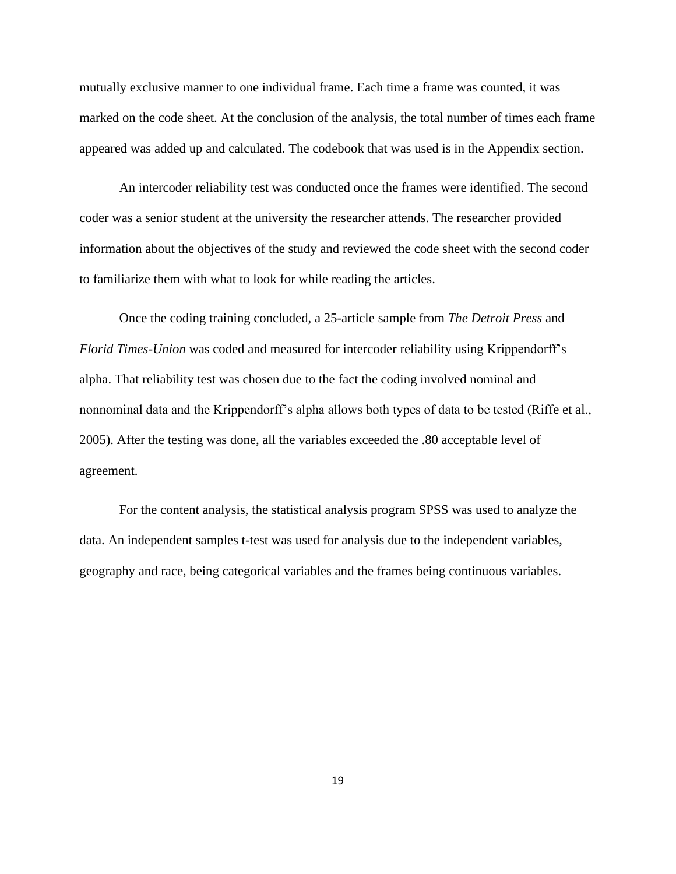mutually exclusive manner to one individual frame. Each time a frame was counted, it was marked on the code sheet. At the conclusion of the analysis, the total number of times each frame appeared was added up and calculated. The codebook that was used is in the Appendix section.

An intercoder reliability test was conducted once the frames were identified. The second coder was a senior student at the university the researcher attends. The researcher provided information about the objectives of the study and reviewed the code sheet with the second coder to familiarize them with what to look for while reading the articles.

Once the coding training concluded, a 25-article sample from *The Detroit Press* and *Florid Times-Union* was coded and measured for intercoder reliability using Krippendorff's alpha. That reliability test was chosen due to the fact the coding involved nominal and nonnominal data and the Krippendorff's alpha allows both types of data to be tested (Riffe et al., 2005). After the testing was done, all the variables exceeded the .80 acceptable level of agreement.

For the content analysis, the statistical analysis program SPSS was used to analyze the data. An independent samples t-test was used for analysis due to the independent variables, geography and race, being categorical variables and the frames being continuous variables.

19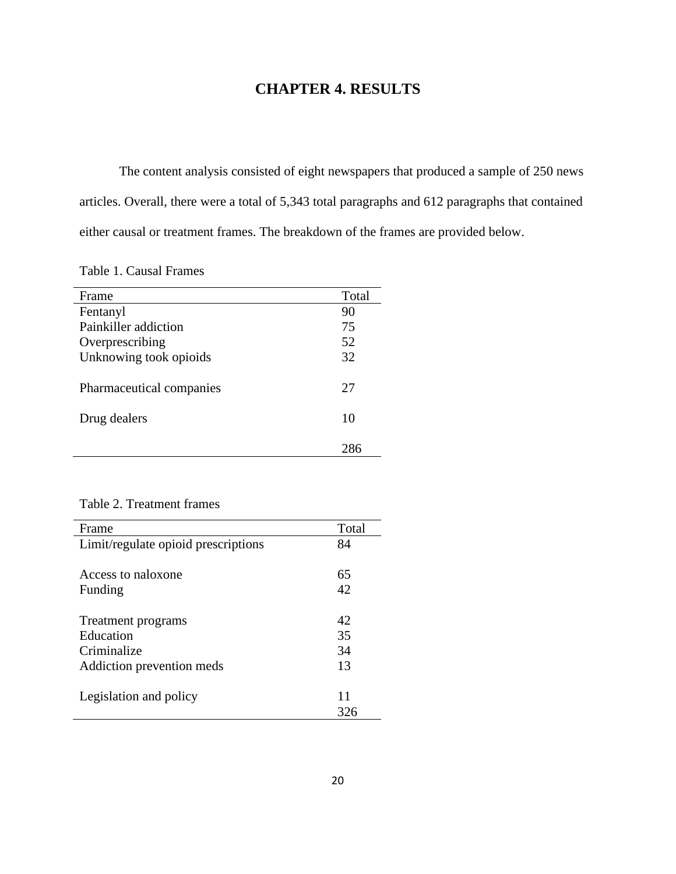# **CHAPTER 4. RESULTS**

The content analysis consisted of eight newspapers that produced a sample of 250 news articles. Overall, there were a total of 5,343 total paragraphs and 612 paragraphs that contained either causal or treatment frames. The breakdown of the frames are provided below.

Table 1. Causal Frames

| Frame                    | Total |
|--------------------------|-------|
| Fentanyl                 | 90    |
| Painkiller addiction     | 75    |
| Overprescribing          | 52    |
| Unknowing took opioids   | 32    |
| Pharmaceutical companies | 27    |
|                          |       |
| Drug dealers             | 10    |
|                          |       |
|                          | 286   |

### Table 2. Treatment frames

| Frame                               | Total |
|-------------------------------------|-------|
| Limit/regulate opioid prescriptions | 84    |
|                                     |       |
| Access to naloxone                  | 65    |
| Funding                             | 42    |
|                                     |       |
| Treatment programs                  | 42    |
| Education                           | 35    |
| Criminalize                         | 34    |
| Addiction prevention meds           | 13    |
|                                     |       |
| Legislation and policy              | 11    |
|                                     | 326   |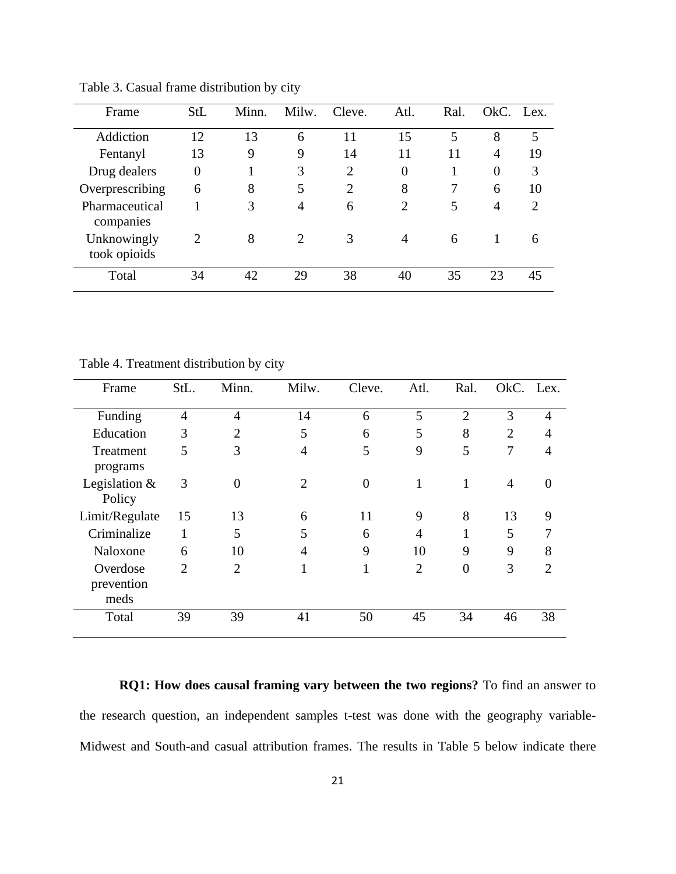| Frame                       | StL            | Minn. | Milw.          | Cleve. | Atl.           | Ral. | OkC.           | Lex. |
|-----------------------------|----------------|-------|----------------|--------|----------------|------|----------------|------|
| Addiction                   | 12             | 13    | 6              | 11     | 15             | 5    | 8              | 5    |
| Fentanyl                    | 13             | 9     | 9              | 14     | 11             | 11   | 4              | 19   |
| Drug dealers                | $\overline{0}$ |       | 3              | 2      | $\overline{0}$ |      | $\overline{0}$ | 3    |
| Overprescribing             | 6              | 8     | 5              | 2      | 8              |      | 6              | 10   |
| Pharmaceutical<br>companies |                | 3     | 4              | 6      | $\overline{2}$ | 5    | $\overline{4}$ | 2    |
| Unknowingly<br>took opioids | 2              | 8     | $\overline{2}$ | 3      | $\overline{4}$ | 6    |                | 6    |
| Total                       | 34             | 42    | 29             | 38     | 40             | 35   | 23             | 45   |

Table 3. Casual frame distribution by city

Table 4. Treatment distribution by city

| Frame                          | StL.           | Minn.          | Milw.          | Cleve.         | Atl.           | Ral.           | OkC. Lex.      |                |
|--------------------------------|----------------|----------------|----------------|----------------|----------------|----------------|----------------|----------------|
| Funding                        | $\overline{4}$ | $\overline{4}$ | 14             | 6              | 5              | $\overline{2}$ | 3              | $\overline{4}$ |
| Education                      | 3              | $\overline{2}$ | 5              | 6              | 5              | 8              | $\overline{2}$ | 4              |
| Treatment<br>programs          | 5              | 3              | $\overline{4}$ | 5              | 9              | 5              | 7              | 4              |
| Legislation $&$<br>Policy      | 3              | $\Omega$       | 2              | $\overline{0}$ | 1              | 1              | 4              | 0              |
| Limit/Regulate                 | 15             | 13             | 6              | 11             | 9              | 8              | 13             | 9              |
| Criminalize                    | 1              | 5              | 5              | 6              | $\overline{4}$ |                | 5              |                |
| Naloxone                       | 6              | 10             | 4              | 9              | 10             | 9              | 9              | 8              |
| Overdose<br>prevention<br>meds | $\overline{2}$ | $\overline{2}$ |                | 1              | $\overline{2}$ | $\theta$       | 3              | $\overline{2}$ |
| Total                          | 39             | 39             | 41             | 50             | 45             | 34             | 46             | 38             |

**RQ1: How does causal framing vary between the two regions?** To find an answer to the research question, an independent samples t-test was done with the geography variable-Midwest and South-and casual attribution frames. The results in Table 5 below indicate there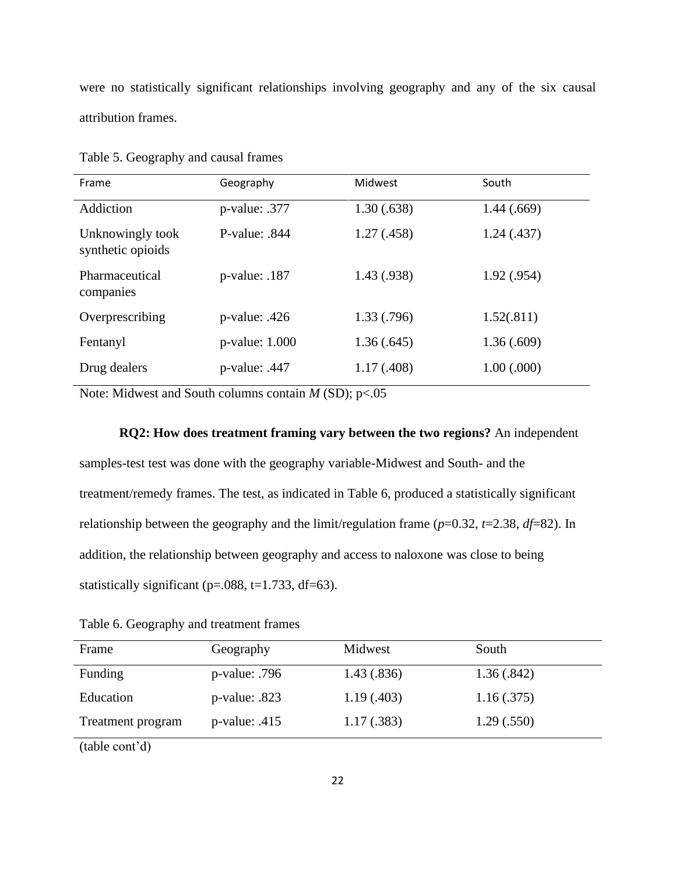were no statistically significant relationships involving geography and any of the six causal attribution frames.

| Frame                                 | Geography        | Midwest     | South       |
|---------------------------------------|------------------|-------------|-------------|
| Addiction                             | $p$ -value: .377 | 1.30(.638)  | 1.44(.669)  |
| Unknowingly took<br>synthetic opioids | P-value: $.844$  | 1.27(0.458) | 1.24(0.437) |
| Pharmaceutical<br>companies           | $p$ -value: .187 | 1.43(0.938) | 1.92(.954)  |
| Overprescribing                       | $p$ -value: .426 | 1.33(0.796) | 1.52(.811)  |
| Fentanyl                              | p-value: 1.000   | 1.36(.645)  | 1.36(.609)  |
| Drug dealers                          | $p$ -value: .447 | 1.17(0.408) | 1.00(.000)  |

Table 5. Geography and causal frames

Note: Midwest and South columns contain *M* (SD); p<.05

### **RQ2: How does treatment framing vary between the two regions?** An independent

samples-test test was done with the geography variable-Midwest and South- and the treatment/remedy frames. The test, as indicated in Table 6, produced a statistically significant relationship between the geography and the limit/regulation frame  $(p=0.32, t=2.38, df=82)$ . In addition, the relationship between geography and access to naloxone was close to being statistically significant ( $p=.088$ ,  $t=1.733$ , df=63).

Table 6. Geography and treatment frames

| Frame             | Geography        | Midwest     | South      |
|-------------------|------------------|-------------|------------|
| Funding           | $p$ -value: .796 | 1.43(.836)  | 1.36(.842) |
| Education         | $p$ -value: .823 | 1.19(0.403) | 1.16(.375) |
| Treatment program | $p$ -value: .415 | 1.17(.383)  | 1.29(.550) |
|                   |                  |             |            |

(table cont'd)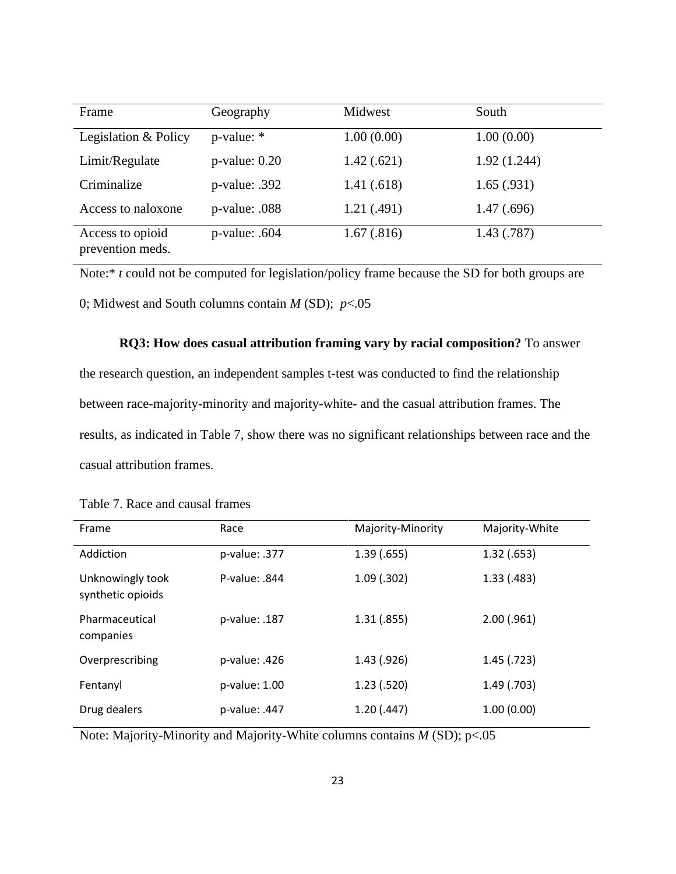| Frame                                | Geography          | Midwest    | South       |
|--------------------------------------|--------------------|------------|-------------|
| Legislation & Policy                 | p-value: *         | 1.00(0.00) | 1.00(0.00)  |
| Limit/Regulate                       | $p$ -value: $0.20$ | 1.42(.621) | 1.92(1.244) |
| Criminalize                          | $p$ -value: .392   | 1.41(.618) | 1.65(.931)  |
| Access to naloxone                   | p-value: .088      | 1.21(.491) | 1.47(.696)  |
| Access to opioid<br>prevention meds. | $p$ -value: .604   | 1.67(.816) | 1.43(0.787) |

Note:<sup>\*</sup> *t* could not be computed for legislation/policy frame because the SD for both groups are 0; Midwest and South columns contain *M* (SD); *p*<.05

**RQ3: How does casual attribution framing vary by racial composition?** To answer the research question, an independent samples t-test was conducted to find the relationship between race-majority-minority and majority-white- and the casual attribution frames. The results, as indicated in Table 7, show there was no significant relationships between race and the casual attribution frames.

| Table 7. Race and causal frames |  |
|---------------------------------|--|
|---------------------------------|--|

| Frame                                 | Race          | Majority-Minority | Majority-White |
|---------------------------------------|---------------|-------------------|----------------|
|                                       |               |                   |                |
| Addiction                             | p-value: .377 | 1.39(0.655)       | 1.32(0.653)    |
| Unknowingly took<br>synthetic opioids | P-value: .844 | $1.09$ (.302)     | 1.33(0.483)    |
| Pharmaceutical<br>companies           | p-value: .187 | 1.31(.855)        | $2.00$ (.961)  |
| Overprescribing                       | p-value: .426 | 1.43(0.926)       | $1.45$ (.723)  |
| Fentanyl                              | p-value: 1.00 | 1.23(.520)        | 1.49(0.703)    |
| Drug dealers                          | p-value: .447 | 1.20(0.447)       | 1.00(0.00)     |

Note: Majority-Minority and Majority-White columns contains *M* (SD); p<.05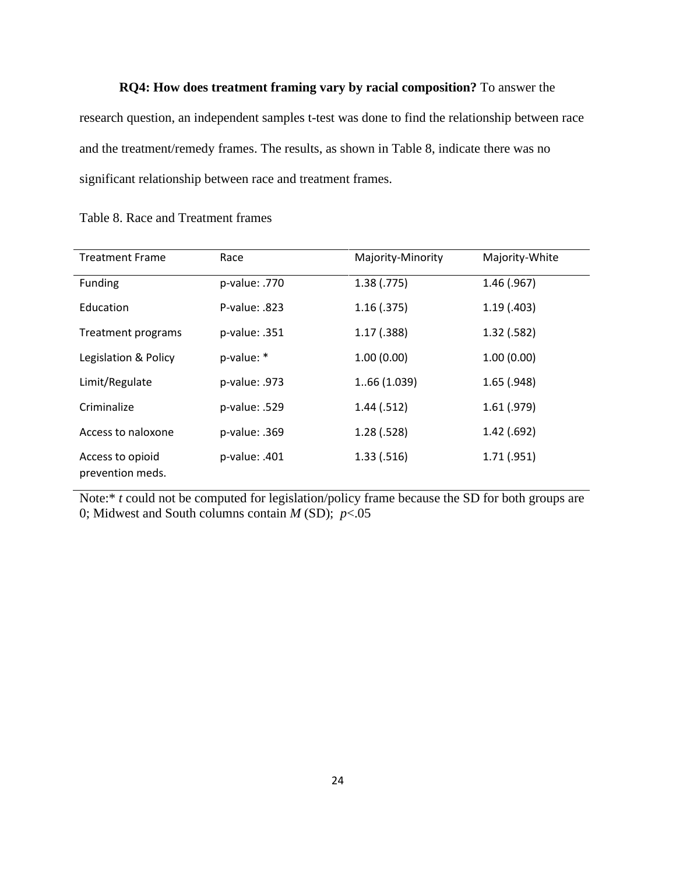**RQ4: How does treatment framing vary by racial composition?** To answer the research question, an independent samples t-test was done to find the relationship between race and the treatment/remedy frames. The results, as shown in Table 8, indicate there was no significant relationship between race and treatment frames.

| <b>Treatment Frame</b>               | Race          | Majority-Minority | Majority-White |
|--------------------------------------|---------------|-------------------|----------------|
| Funding                              | p-value: .770 | 1.38(.775)        | $1.46$ (.967)  |
| Education                            | P-value: .823 | 1.16(0.375)       | 1.19(0.403)    |
| Treatment programs                   | p-value: .351 | 1.17(0.388)       | $1.32$ (.582)  |
| Legislation & Policy                 | p-value: *    | 1.00(0.00)        | 1.00(0.00)     |
| Limit/Regulate                       | p-value: .973 | 166(1.039)        | $1.65$ (.948)  |
| Criminalize                          | p-value: .529 | 1.44(.512)        | $1.61$ (.979)  |
| Access to naloxone                   | p-value: .369 | 1.28(.528)        | 1.42(.692)     |
| Access to opioid<br>prevention meds. | p-value: .401 | 1.33( .516)       | 1.71(.951)     |

Table 8. Race and Treatment frames

Note:<sup>\*</sup> *t* could not be computed for legislation/policy frame because the SD for both groups are 0; Midwest and South columns contain  $M(SD)$ ;  $p < 0.05$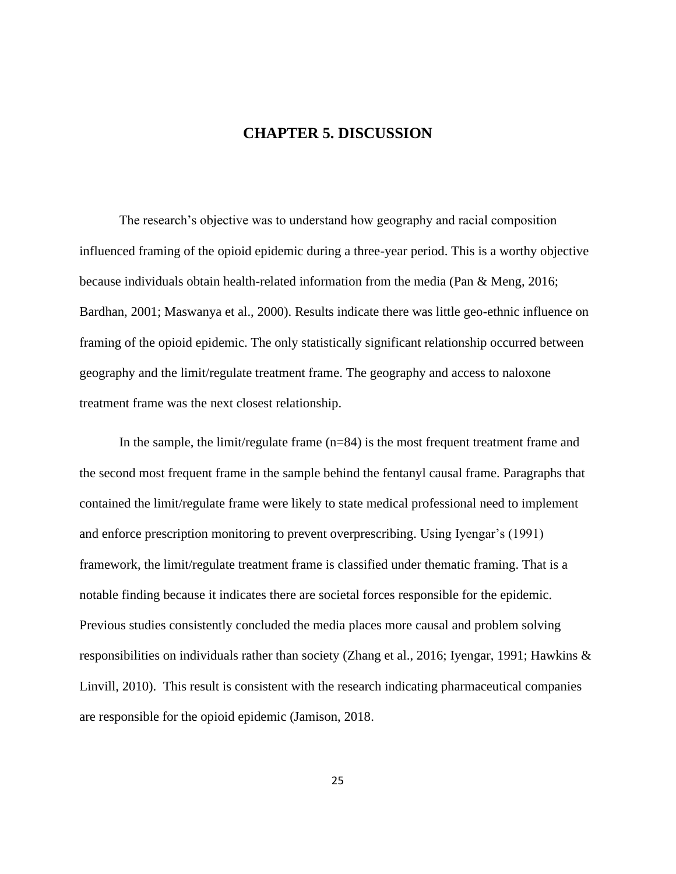### **CHAPTER 5. DISCUSSION**

The research's objective was to understand how geography and racial composition influenced framing of the opioid epidemic during a three-year period. This is a worthy objective because individuals obtain health-related information from the media (Pan & Meng, 2016; Bardhan, 2001; Maswanya et al., 2000). Results indicate there was little geo-ethnic influence on framing of the opioid epidemic. The only statistically significant relationship occurred between geography and the limit/regulate treatment frame. The geography and access to naloxone treatment frame was the next closest relationship.

In the sample, the limit/regulate frame  $(n=84)$  is the most frequent treatment frame and the second most frequent frame in the sample behind the fentanyl causal frame. Paragraphs that contained the limit/regulate frame were likely to state medical professional need to implement and enforce prescription monitoring to prevent overprescribing. Using Iyengar's (1991) framework, the limit/regulate treatment frame is classified under thematic framing. That is a notable finding because it indicates there are societal forces responsible for the epidemic. Previous studies consistently concluded the media places more causal and problem solving responsibilities on individuals rather than society (Zhang et al., 2016; Iyengar, 1991; Hawkins & Linvill, 2010). This result is consistent with the research indicating pharmaceutical companies are responsible for the opioid epidemic (Jamison, 2018.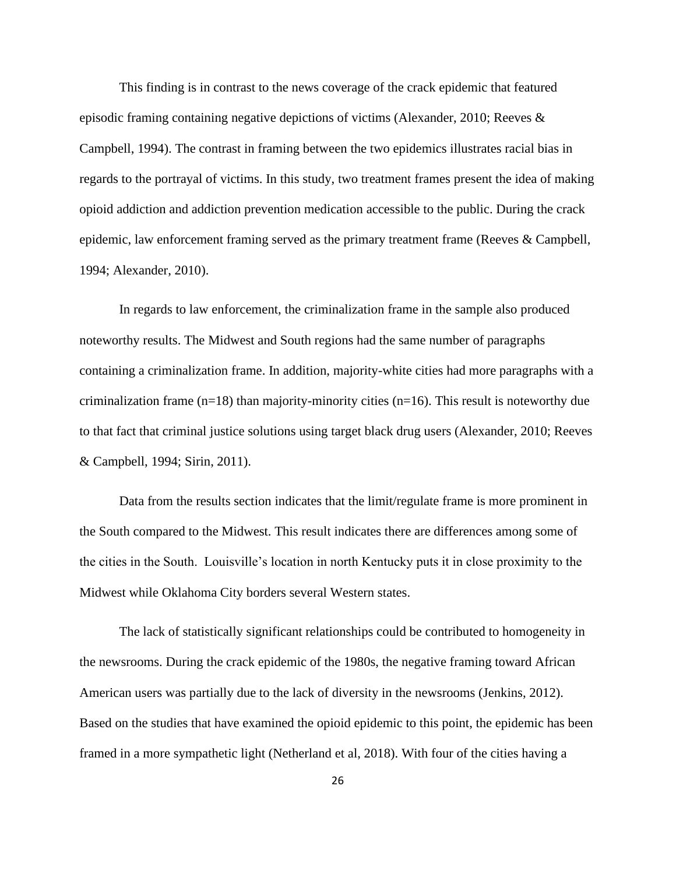This finding is in contrast to the news coverage of the crack epidemic that featured episodic framing containing negative depictions of victims (Alexander, 2010; Reeves & Campbell, 1994). The contrast in framing between the two epidemics illustrates racial bias in regards to the portrayal of victims. In this study, two treatment frames present the idea of making opioid addiction and addiction prevention medication accessible to the public. During the crack epidemic, law enforcement framing served as the primary treatment frame (Reeves & Campbell, 1994; Alexander, 2010).

In regards to law enforcement, the criminalization frame in the sample also produced noteworthy results. The Midwest and South regions had the same number of paragraphs containing a criminalization frame. In addition, majority-white cities had more paragraphs with a criminalization frame  $(n=18)$  than majority-minority cities  $(n=16)$ . This result is noteworthy due to that fact that criminal justice solutions using target black drug users (Alexander, 2010; Reeves & Campbell, 1994; Sirin, 2011).

Data from the results section indicates that the limit/regulate frame is more prominent in the South compared to the Midwest. This result indicates there are differences among some of the cities in the South. Louisville's location in north Kentucky puts it in close proximity to the Midwest while Oklahoma City borders several Western states.

The lack of statistically significant relationships could be contributed to homogeneity in the newsrooms. During the crack epidemic of the 1980s, the negative framing toward African American users was partially due to the lack of diversity in the newsrooms (Jenkins, 2012). Based on the studies that have examined the opioid epidemic to this point, the epidemic has been framed in a more sympathetic light (Netherland et al, 2018). With four of the cities having a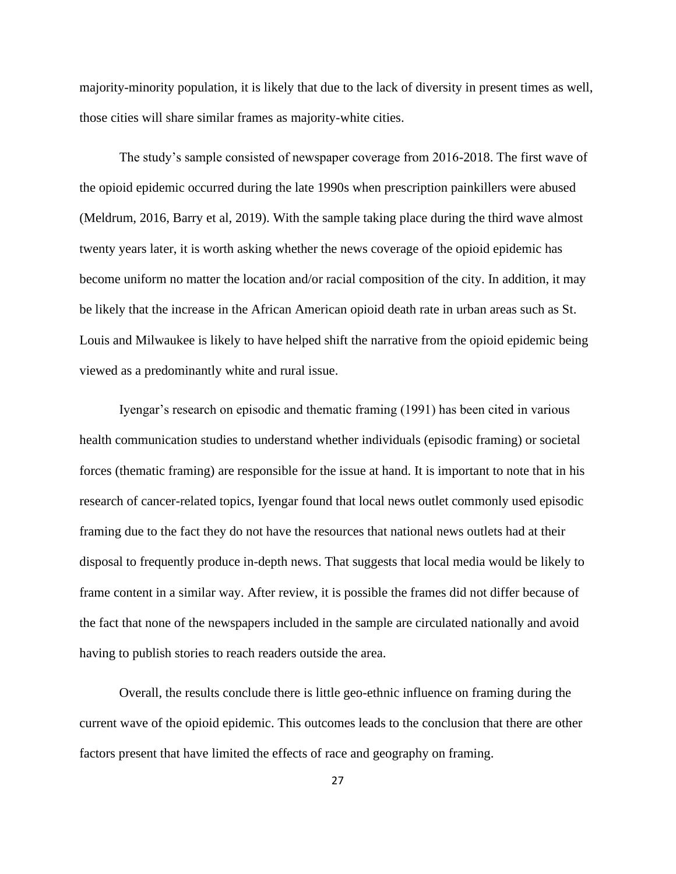majority-minority population, it is likely that due to the lack of diversity in present times as well, those cities will share similar frames as majority-white cities.

The study's sample consisted of newspaper coverage from 2016-2018. The first wave of the opioid epidemic occurred during the late 1990s when prescription painkillers were abused (Meldrum, 2016, Barry et al, 2019). With the sample taking place during the third wave almost twenty years later, it is worth asking whether the news coverage of the opioid epidemic has become uniform no matter the location and/or racial composition of the city. In addition, it may be likely that the increase in the African American opioid death rate in urban areas such as St. Louis and Milwaukee is likely to have helped shift the narrative from the opioid epidemic being viewed as a predominantly white and rural issue.

Iyengar's research on episodic and thematic framing (1991) has been cited in various health communication studies to understand whether individuals (episodic framing) or societal forces (thematic framing) are responsible for the issue at hand. It is important to note that in his research of cancer-related topics, Iyengar found that local news outlet commonly used episodic framing due to the fact they do not have the resources that national news outlets had at their disposal to frequently produce in-depth news. That suggests that local media would be likely to frame content in a similar way. After review, it is possible the frames did not differ because of the fact that none of the newspapers included in the sample are circulated nationally and avoid having to publish stories to reach readers outside the area.

Overall, the results conclude there is little geo-ethnic influence on framing during the current wave of the opioid epidemic. This outcomes leads to the conclusion that there are other factors present that have limited the effects of race and geography on framing.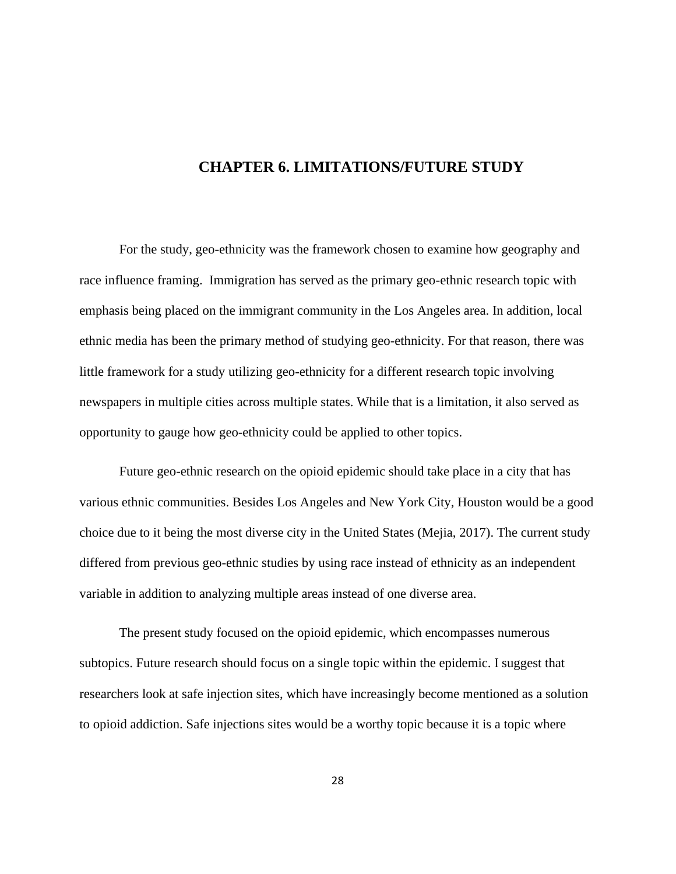### **CHAPTER 6. LIMITATIONS/FUTURE STUDY**

For the study, geo-ethnicity was the framework chosen to examine how geography and race influence framing. Immigration has served as the primary geo-ethnic research topic with emphasis being placed on the immigrant community in the Los Angeles area. In addition, local ethnic media has been the primary method of studying geo-ethnicity. For that reason, there was little framework for a study utilizing geo-ethnicity for a different research topic involving newspapers in multiple cities across multiple states. While that is a limitation, it also served as opportunity to gauge how geo-ethnicity could be applied to other topics.

Future geo-ethnic research on the opioid epidemic should take place in a city that has various ethnic communities. Besides Los Angeles and New York City, Houston would be a good choice due to it being the most diverse city in the United States (Mejia, 2017). The current study differed from previous geo-ethnic studies by using race instead of ethnicity as an independent variable in addition to analyzing multiple areas instead of one diverse area.

The present study focused on the opioid epidemic, which encompasses numerous subtopics. Future research should focus on a single topic within the epidemic. I suggest that researchers look at safe injection sites, which have increasingly become mentioned as a solution to opioid addiction. Safe injections sites would be a worthy topic because it is a topic where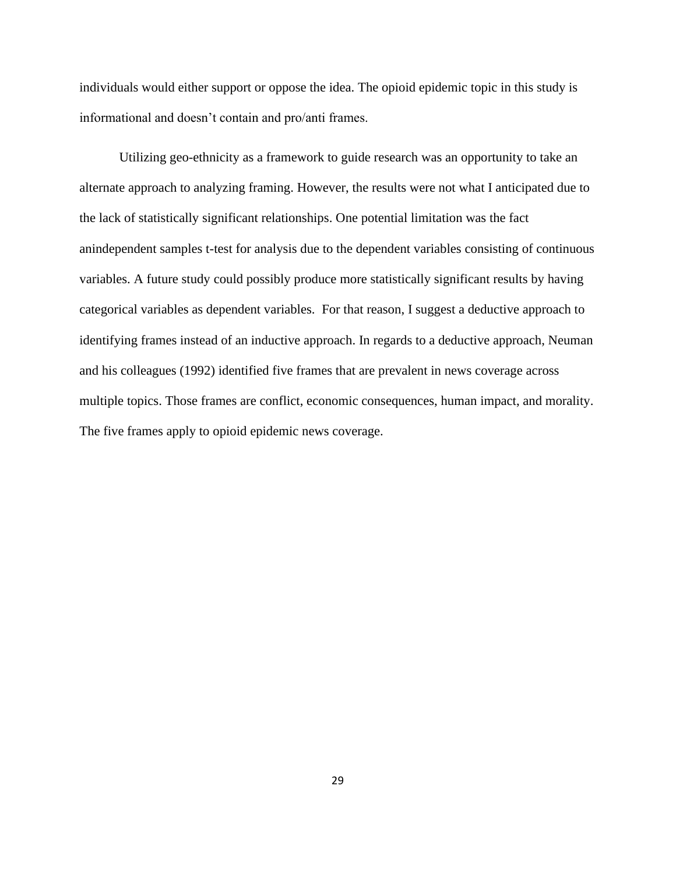individuals would either support or oppose the idea. The opioid epidemic topic in this study is informational and doesn't contain and pro/anti frames.

Utilizing geo-ethnicity as a framework to guide research was an opportunity to take an alternate approach to analyzing framing. However, the results were not what I anticipated due to the lack of statistically significant relationships. One potential limitation was the fact anindependent samples t-test for analysis due to the dependent variables consisting of continuous variables. A future study could possibly produce more statistically significant results by having categorical variables as dependent variables. For that reason, I suggest a deductive approach to identifying frames instead of an inductive approach. In regards to a deductive approach, Neuman and his colleagues (1992) identified five frames that are prevalent in news coverage across multiple topics. Those frames are conflict, economic consequences, human impact, and morality. The five frames apply to opioid epidemic news coverage.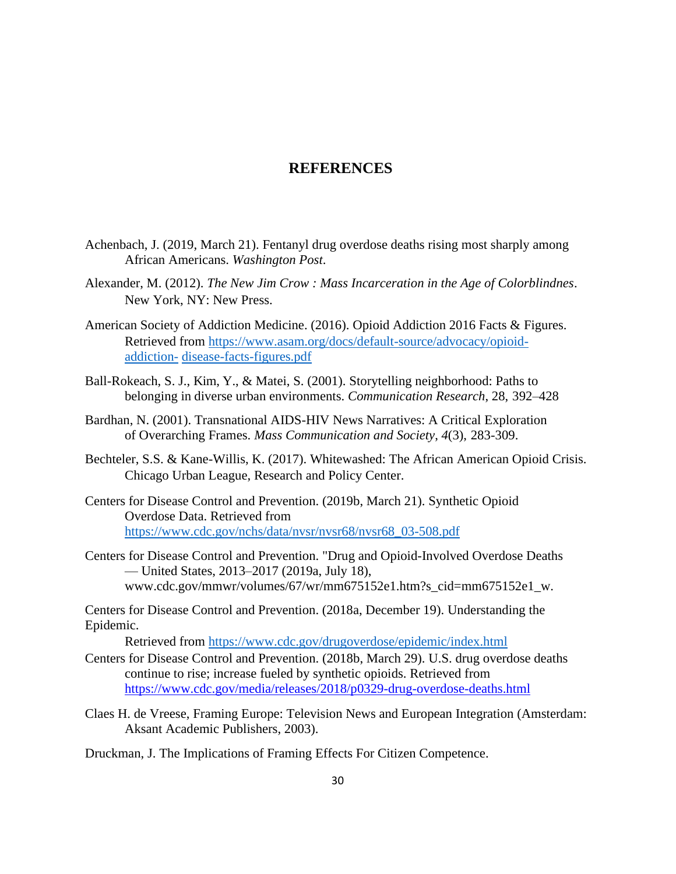### **REFERENCES**

- Achenbach, J. (2019, March 21). Fentanyl drug overdose deaths rising most sharply among African Americans. *Washington Post*.
- Alexander, M. (2012). *The New Jim Crow : Mass Incarceration in the Age of Colorblindnes*. New York, NY: New Press.
- American Society of Addiction Medicine. (2016). Opioid Addiction 2016 Facts & Figures. Retrieved from [https://www.asam.org/docs/default-source/advocacy/opioid](https://www.asam.org/docs/default-source/advocacy/opioid-addiction-disease-facts-figures.pdf)[addiction-](https://www.asam.org/docs/default-source/advocacy/opioid-addiction-disease-facts-figures.pdf) [disease-facts-figures.pdf](https://www.asam.org/docs/default-source/advocacy/opioid-addiction-disease-facts-figures.pdf)
- Ball-Rokeach, S. J., Kim, Y., & Matei, S. (2001). Storytelling neighborhood: Paths to belonging in diverse urban environments. *Communication Research*, 28, 392–428
- Bardhan, N. (2001). Transnational AIDS-HIV News Narratives: A Critical Exploration of Overarching Frames. *Mass Communication and Society*, *4*(3), 283-309.
- Bechteler, S.S. & Kane-Willis, K. (2017). Whitewashed: The African American Opioid Crisis. Chicago Urban League, Research and Policy Center.
- Centers for Disease Control and Prevention. (2019b, March 21). Synthetic Opioid Overdose Data. Retrieved from [https://www.cdc.gov/nchs/data/nvsr/nvsr68/nvsr68\\_03-508.pdf](https://www.cdc.gov/nchs/data/nvsr/nvsr68/nvsr68_03-508.pdf)
- Centers for Disease Control and Prevention. "Drug and Opioid-Involved Overdose Deaths — United States, 2013–2017 (2019a, July 18), [www.cdc.gov/mmwr/volumes/67/wr/mm675152e1.htm?s\\_cid=mm675152e1\\_w.](http://www.cdc.gov/mmwr/volumes/67/wr/mm675152e1.htm?s_cid=mm675152e1_w)

Centers for Disease Control and Prevention. (2018a, December 19). Understanding the Epidemic.

Retrieved from<https://www.cdc.gov/drugoverdose/epidemic/index.html>

- Centers for Disease Control and Prevention. (2018b, March 29). U.S. drug overdose deaths continue to rise; increase fueled by synthetic opioids. Retrieved from <https://www.cdc.gov/media/releases/2018/p0329-drug-overdose-deaths.html>
- Claes H. de Vreese, Framing Europe: Television News and European Integration (Amsterdam: Aksant Academic Publishers, 2003).
- Druckman, J. The Implications of Framing Effects For Citizen Competence.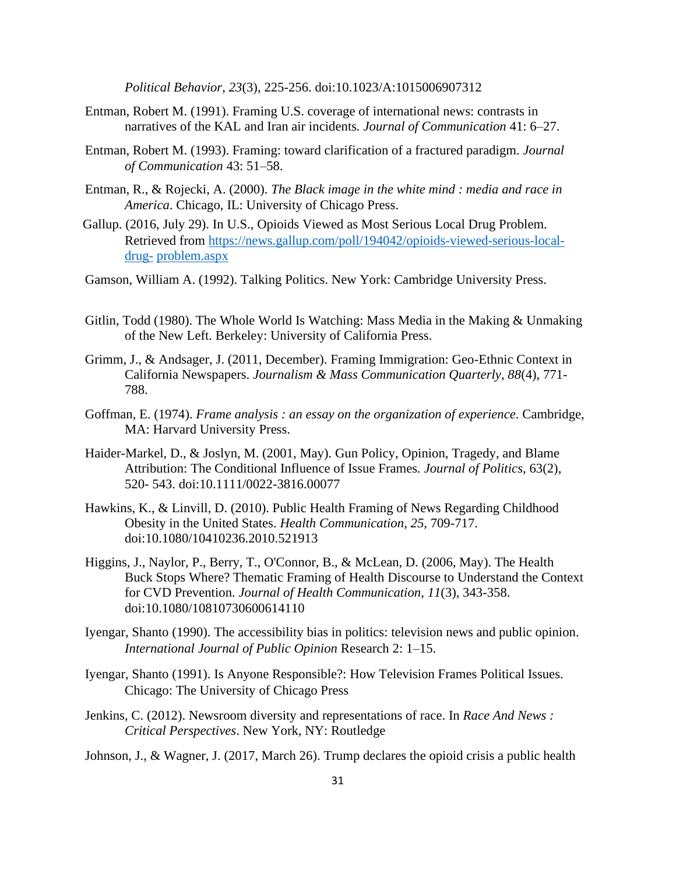*Political Behavior*, *23*(3), 225-256. doi:10.1023/A:1015006907312

- Entman, Robert M. (1991). Framing U.S. coverage of international news: contrasts in narratives of the KAL and Iran air incidents*. Journal of Communication* 41: 6–27.
- Entman, Robert M. (1993). Framing: toward clarification of a fractured paradigm. *Journal of Communication* 43: 51–58.
- Entman, R., & Rojecki, A. (2000). *The Black image in the white mind : media and race in America*. Chicago, IL: University of Chicago Press.
- Gallup. (2016, July 29). In U.S., Opioids Viewed as Most Serious Local Drug Problem. Retrieved from [https://news.gallup.com/poll/194042/opioids-viewed-serious-local](https://news.gallup.com/poll/194042/opioids-viewed-serious-local-drug-problem.aspx)[drug-](https://news.gallup.com/poll/194042/opioids-viewed-serious-local-drug-problem.aspx) [problem.aspx](https://news.gallup.com/poll/194042/opioids-viewed-serious-local-drug-problem.aspx)
- Gamson, William A. (1992). Talking Politics. New York: Cambridge University Press.
- Gitlin, Todd (1980). The Whole World Is Watching: Mass Media in the Making & Unmaking of the New Left. Berkeley: University of California Press.
- Grimm, J., & Andsager, J. (2011, December). Framing Immigration: Geo-Ethnic Context in California Newspapers. *Journalism & Mass Communication Quarterly*, *88*(4), 771- 788.
- Goffman, E. (1974). *Frame analysis : an essay on the organization of experience*. Cambridge, MA: Harvard University Press.
- Haider-Markel, D., & Joslyn, M. (2001, May). Gun Policy, Opinion, Tragedy, and Blame Attribution: The Conditional Influence of Issue Frames*. Journal of Politics*, 63(2), 520- 543. doi:10.1111/0022-3816.00077
- Hawkins, K., & Linvill, D. (2010). Public Health Framing of News Regarding Childhood Obesity in the United States. *Health Communication*, *25*, 709-717. doi:10.1080/10410236.2010.521913
- Higgins, J., Naylor, P., Berry, T., O'Connor, B., & McLean, D. (2006, May). The Health Buck Stops Where? Thematic Framing of Health Discourse to Understand the Context for CVD Prevention. *Journal of Health Communication*, *11*(3), 343-358. doi:10.1080/10810730600614110
- Iyengar, Shanto (1990). The accessibility bias in politics: television news and public opinion. *International Journal of Public Opinion* Research 2: 1–15.
- Iyengar, Shanto (1991). Is Anyone Responsible?: How Television Frames Political Issues. Chicago: The University of Chicago Press
- Jenkins, C. (2012). Newsroom diversity and representations of race. In *Race And News : Critical Perspectives*. New York, NY: Routledge

Johnson, J., & Wagner, J. (2017, March 26). Trump declares the opioid crisis a public health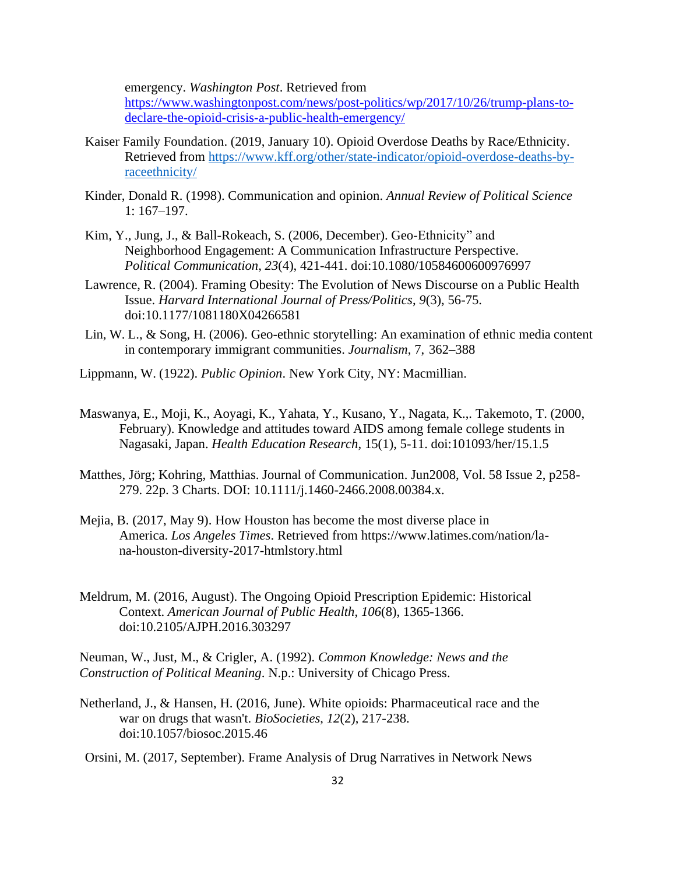emergency. *Washington Post*. Retrieved from

[https://www.washingtonpost.com/news/post-politics/wp/2017/10/26/trump-plans-to](https://www.washingtonpost.com/news/post-politics/wp/2017/10/26/trump-plans-to-declare-the-opioid-crisis-a-public-health-emergency/)[declare-the-opioid-crisis-a-public-health-emergency/](https://www.washingtonpost.com/news/post-politics/wp/2017/10/26/trump-plans-to-declare-the-opioid-crisis-a-public-health-emergency/)

- Kaiser Family Foundation. (2019, January 10). Opioid Overdose Deaths by Race/Ethnicity. Retrieved from [https://www.kff.org/other/state-indicator/opioid-overdose-deaths-by](https://www.kff.org/other/state-indicator/opioid-overdose-deaths-by-raceethnicity/)[raceethnicity/](https://www.kff.org/other/state-indicator/opioid-overdose-deaths-by-raceethnicity/)
- Kinder, Donald R. (1998). Communication and opinion. *Annual Review of Political Science*  1: 167–197.
- Kim, Y., Jung, J., & Ball-Rokeach, S. (2006, December). Geo-Ethnicity" and Neighborhood Engagement: A Communication Infrastructure Perspective. *Political Communication*, *23*(4), 421-441. doi:10.1080/10584600600976997
- Lawrence, R. (2004). Framing Obesity: The Evolution of News Discourse on a Public Health Issue. *Harvard International Journal of Press/Politics*, *9*(3), 56-75. doi:10.1177/1081180X04266581
- Lin, W. L., & Song, H. (2006). Geo-ethnic storytelling: An examination of ethnic media content in contemporary immigrant communities. *Journalism*, 7, 362–388
- Lippmann, W. (1922). *Public Opinion*. New York City, NY: Macmillian.
- Maswanya, E., Moji, K., Aoyagi, K., Yahata, Y., Kusano, Y., Nagata, K.,. Takemoto, T. (2000, February). Knowledge and attitudes toward AIDS among female college students in Nagasaki, Japan. *Health Education Research*, 15(1), 5-11. doi:101093/her/15.1.5
- Matthes, Jörg; Kohring, Matthias. Journal of Communication. Jun2008, Vol. 58 Issue 2, p258- 279. 22p. 3 Charts. DOI: 10.1111/j.1460-2466.2008.00384.x.
- Mejia, B. (2017, May 9). How Houston has become the most diverse place in America. *Los Angeles Times*. Retrieved from https://www.latimes.com/nation/lana-houston-diversity-2017-htmlstory.html
- Meldrum, M. (2016, August). The Ongoing Opioid Prescription Epidemic: Historical Context. *American Journal of Public Health*, *106*(8), 1365-1366. doi:10.2105/AJPH.2016.303297

Neuman, W., Just, M., & Crigler, A. (1992). *Common Knowledge: News and the Construction of Political Meaning*. N.p.: University of Chicago Press.

Netherland, J., & Hansen, H. (2016, June). White opioids: Pharmaceutical race and the war on drugs that wasn't. *BioSocieties*, *12*(2), 217-238. doi:10.1057/biosoc.2015.46

Orsini, M. (2017, September). Frame Analysis of Drug Narratives in Network News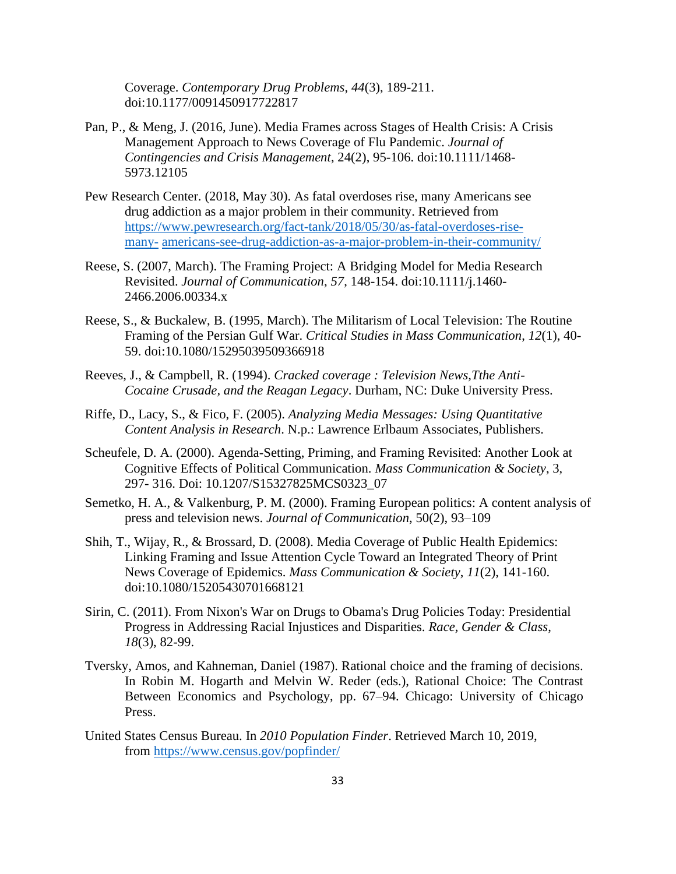Coverage. *Contemporary Drug Problems*, *44*(3), 189-211. doi:10.1177/0091450917722817

- Pan, P., & Meng, J. (2016, June). Media Frames across Stages of Health Crisis: A Crisis Management Approach to News Coverage of Flu Pandemic. *Journal of Contingencies and Crisis Management*, 24(2), 95-106. doi:10.1111/1468- 5973.12105
- Pew Research Center. (2018, May 30). As fatal overdoses rise, many Americans see drug addiction as a major problem in their community. Retrieved from [https://www.pewresearch.org/fact-tank/2018/05/30/as-fatal-overdoses-rise](https://www.pewresearch.org/fact-tank/2018/05/30/as-fatal-overdoses-rise-many-americans-see-drug-addiction-as-a-major-problem-in-their-community/)[many-](https://www.pewresearch.org/fact-tank/2018/05/30/as-fatal-overdoses-rise-many-americans-see-drug-addiction-as-a-major-problem-in-their-community/) [americans-see-drug-addiction-as-a-major-problem-in-their-community/](https://www.pewresearch.org/fact-tank/2018/05/30/as-fatal-overdoses-rise-many-americans-see-drug-addiction-as-a-major-problem-in-their-community/)
- Reese, S. (2007, March). The Framing Project: A Bridging Model for Media Research Revisited. *Journal of Communication*, *57*, 148-154. doi:10.1111/j.1460- 2466.2006.00334.x
- Reese, S., & Buckalew, B. (1995, March). The Militarism of Local Television: The Routine Framing of the Persian Gulf War. *Critical Studies in Mass Communication*, *12*(1), 40- 59. doi:10.1080/15295039509366918
- Reeves, J., & Campbell, R. (1994). *Cracked coverage : Television News,Tthe Anti-Cocaine Crusade, and the Reagan Legacy*. Durham, NC: Duke University Press.
- Riffe, D., Lacy, S., & Fico, F. (2005). *Analyzing Media Messages: Using Quantitative Content Analysis in Research*. N.p.: Lawrence Erlbaum Associates, Publishers.
- Scheufele, D. A. (2000). Agenda-Setting, Priming, and Framing Revisited: Another Look at Cognitive Effects of Political Communication. *Mass Communication & Society*, 3, 297- 316. Doi: [10.1207/S15327825MCS0323\\_07](https://doi.org/10.1207/S15327825MCS0323_07)
- Semetko, H. A., & Valkenburg, P. M. (2000). Framing European politics: A content analysis of press and television news. *Journal of Communication*, 50(2), 93–109
- Shih, T., Wijay, R., & Brossard, D. (2008). Media Coverage of Public Health Epidemics: Linking Framing and Issue Attention Cycle Toward an Integrated Theory of Print News Coverage of Epidemics. *Mass Communication & Society*, *11*(2), 141-160. doi:10.1080/15205430701668121
- Sirin, C. (2011). From Nixon's War on Drugs to Obama's Drug Policies Today: Presidential Progress in Addressing Racial Injustices and Disparities. *Race, Gender & Class*, *18*(3), 82-99.
- Tversky, Amos, and Kahneman, Daniel (1987). Rational choice and the framing of decisions. In Robin M. Hogarth and Melvin W. Reder (eds.), Rational Choice: The Contrast Between Economics and Psychology, pp. 67–94. Chicago: University of Chicago Press.
- United States Census Bureau. In *2010 Population Finder*. Retrieved March 10, 2019, from<https://www.census.gov/popfinder/>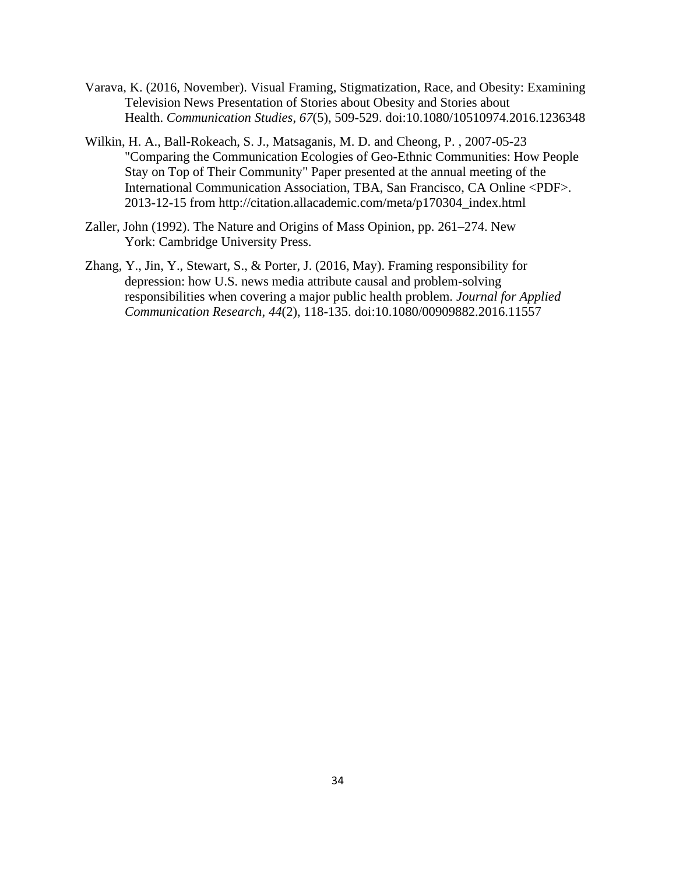- Varava, K. (2016, November). Visual Framing, Stigmatization, Race, and Obesity: Examining Television News Presentation of Stories about Obesity and Stories about Health. *Communication Studies*, *67*(5), 509-529. doi:10.1080/10510974.2016.1236348
- Wilkin, H. A., Ball-Rokeach, S. J., Matsaganis, M. D. and Cheong, P. , 2007-05-23 "Comparing the Communication Ecologies of Geo-Ethnic Communities: How People Stay on Top of Their Community" Paper presented at the annual meeting of the International Communication Association, TBA, San Francisco, CA Online <PDF>. 2013-12-15 from [http://citation.allacademic.com/meta/p170304\\_index.html](http://citation.allacademic.com/meta/p170304_index.html)
- Zaller, John (1992). The Nature and Origins of Mass Opinion, pp. 261–274. New York: Cambridge University Press.
- Zhang, Y., Jin, Y., Stewart, S., & Porter, J. (2016, May). Framing responsibility for depression: how U.S. news media attribute causal and problem-solving responsibilities when covering a major public health problem. *Journal for Applied Communication Research*, *44*(2), 118-135. doi:10.1080/00909882.2016.11557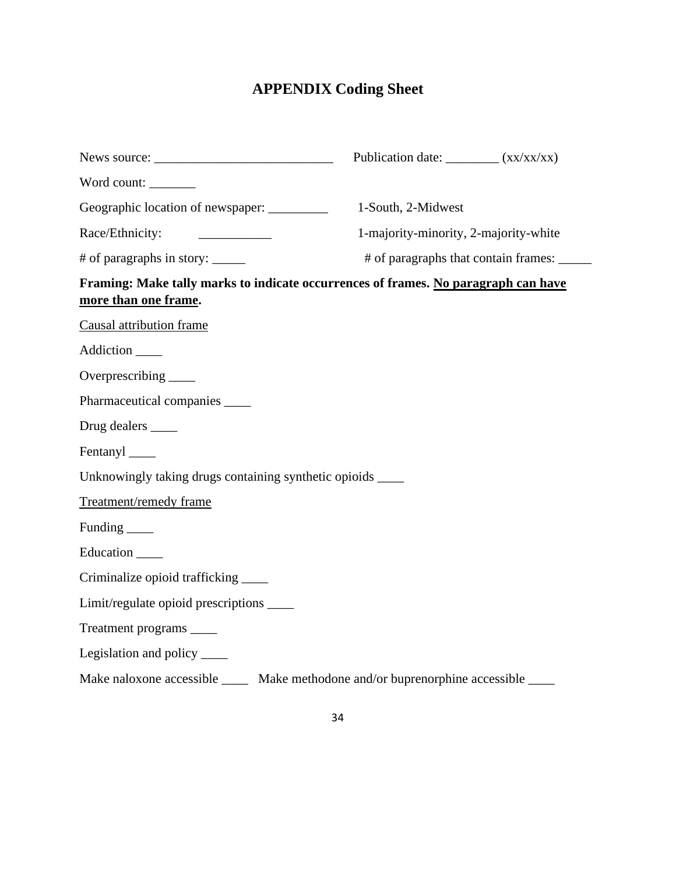# **APPENDIX Coding Sheet**

|                                                                                                                                                                                                                                                                                                                                                                                                                                                              | Publication date: __________ (xx/xx/xx) |                                             |  |
|--------------------------------------------------------------------------------------------------------------------------------------------------------------------------------------------------------------------------------------------------------------------------------------------------------------------------------------------------------------------------------------------------------------------------------------------------------------|-----------------------------------------|---------------------------------------------|--|
| Word count:                                                                                                                                                                                                                                                                                                                                                                                                                                                  |                                         |                                             |  |
| Geographic location of newspaper: _________                                                                                                                                                                                                                                                                                                                                                                                                                  |                                         | 1-South, 2-Midwest                          |  |
| Race/Ethnicity:<br>$\label{eq:2} \begin{split} \frac{1}{\sqrt{2\pi}}\left(\frac{1}{\sqrt{2\pi}}\right)^{1/2}\left(\frac{1}{\sqrt{2\pi}}\right)^{1/2}\left(\frac{1}{\sqrt{2\pi}}\right)^{1/2}\left(\frac{1}{\sqrt{2\pi}}\right)^{1/2}\left(\frac{1}{\sqrt{2\pi}}\right)^{1/2}\left(\frac{1}{\sqrt{2\pi}}\right)^{1/2}\left(\frac{1}{\sqrt{2\pi}}\right)^{1/2}\left(\frac{1}{\sqrt{2\pi}}\right)^{1/2}\left(\frac{1}{\sqrt{2\pi}}\right)^{1/2}\left(\frac{1}{$ |                                         | 1-majority-minority, 2-majority-white       |  |
| # of paragraphs in story: ______                                                                                                                                                                                                                                                                                                                                                                                                                             |                                         | # of paragraphs that contain frames: ______ |  |
| Framing: Make tally marks to indicate occurrences of frames. No paragraph can have<br>more than one frame.                                                                                                                                                                                                                                                                                                                                                   |                                         |                                             |  |
| Causal attribution frame                                                                                                                                                                                                                                                                                                                                                                                                                                     |                                         |                                             |  |
| Addiction _____                                                                                                                                                                                                                                                                                                                                                                                                                                              |                                         |                                             |  |
| Overprescribing ______                                                                                                                                                                                                                                                                                                                                                                                                                                       |                                         |                                             |  |
| Pharmaceutical companies                                                                                                                                                                                                                                                                                                                                                                                                                                     |                                         |                                             |  |
|                                                                                                                                                                                                                                                                                                                                                                                                                                                              |                                         |                                             |  |
| Fentanyl ______                                                                                                                                                                                                                                                                                                                                                                                                                                              |                                         |                                             |  |
| Unknowingly taking drugs containing synthetic opioids _______                                                                                                                                                                                                                                                                                                                                                                                                |                                         |                                             |  |
| Treatment/remedy frame                                                                                                                                                                                                                                                                                                                                                                                                                                       |                                         |                                             |  |
| Funding _______                                                                                                                                                                                                                                                                                                                                                                                                                                              |                                         |                                             |  |
| Education _____                                                                                                                                                                                                                                                                                                                                                                                                                                              |                                         |                                             |  |
| Criminalize opioid trafficking ______                                                                                                                                                                                                                                                                                                                                                                                                                        |                                         |                                             |  |
| Limit/regulate opioid prescriptions _______                                                                                                                                                                                                                                                                                                                                                                                                                  |                                         |                                             |  |
| Treatment programs _____                                                                                                                                                                                                                                                                                                                                                                                                                                     |                                         |                                             |  |
| Legislation and policy ______                                                                                                                                                                                                                                                                                                                                                                                                                                |                                         |                                             |  |
| Make naloxone accessible _______ Make methodone and/or buprenorphine accessible ______                                                                                                                                                                                                                                                                                                                                                                       |                                         |                                             |  |